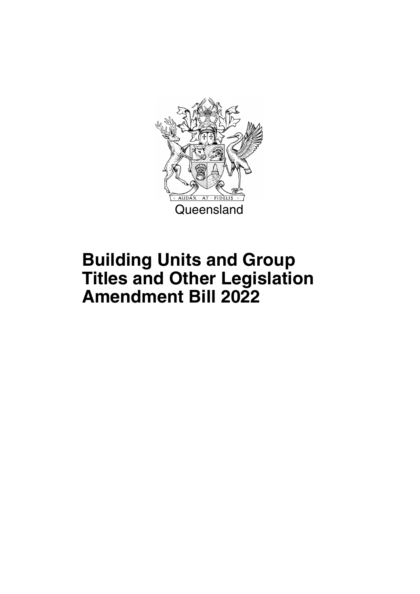

## **Building Units and Group Titles and Other Legislation Amendment Bill 2022**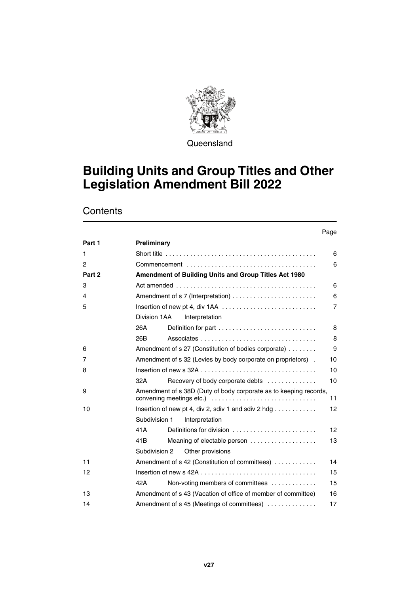

**Queensland** 

### **Building Units and Group Titles and Other Legislation Amendment Bill 2022**

|        |                                                                                                   | Page |
|--------|---------------------------------------------------------------------------------------------------|------|
| Part 1 | Preliminary                                                                                       |      |
| 1.     | Short title $\ldots \ldots \ldots \ldots \ldots \ldots \ldots \ldots \ldots \ldots \ldots \ldots$ | 6    |
| 2      |                                                                                                   | 6    |
| Part 2 | <b>Amendment of Building Units and Group Titles Act 1980</b>                                      |      |
| 3      |                                                                                                   | 6    |
| 4      |                                                                                                   | 6    |
| 5      |                                                                                                   | 7    |
|        | Division 1AA<br>Interpretation                                                                    |      |
|        | 26A<br>Definition for part $\ldots \ldots \ldots \ldots \ldots \ldots \ldots \ldots$              | 8    |
|        | 26B                                                                                               | 8    |
| 6      | Amendment of s 27 (Constitution of bodies corporate)                                              | 9    |
| 7      | Amendment of s 32 (Levies by body corporate on proprietors).                                      | 10   |
| 8      |                                                                                                   | 10   |
|        | 32A<br>Recovery of body corporate debts                                                           | 10   |
| 9      | Amendment of s 38D (Duty of body corporate as to keeping records,<br>convening meetings etc.)     | 11   |
| 10     | Insertion of new pt 4, div 2, sdiv 1 and sdiv 2 hdg $\dots \dots \dots$                           | 12   |
|        | Subdivision 1<br>Interpretation                                                                   |      |
|        | 41A<br>Definitions for division                                                                   | 12   |
|        | 41B<br>Meaning of electable person                                                                | 13   |
|        | Subdivision 2<br>Other provisions                                                                 |      |
| 11     | Amendment of s 42 (Constitution of committees)                                                    | 14   |
| 12     |                                                                                                   | 15   |
|        | 42A<br>Non-voting members of committees                                                           | 15   |
| 13     | Amendment of s 43 (Vacation of office of member of committee)                                     | 16   |
| 14     | Amendment of s 45 (Meetings of committees)                                                        | 17   |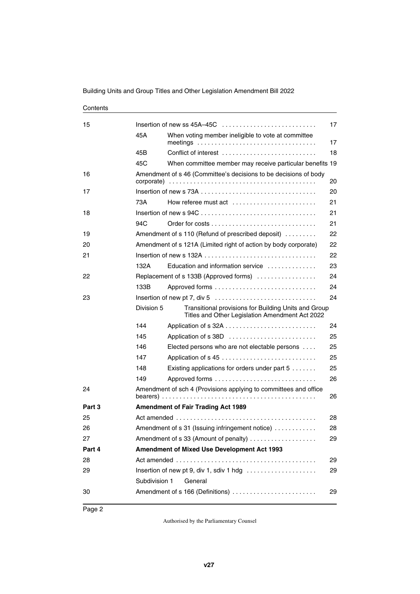### [15](#page-18-2) [Insertion of new ss 45A–45C . . . . . . . . . . . . . . . . . . . . . . . . . . . 17](#page-18-3) [45A](#page-18-4) [When voting member ineligible to vote at committee](#page-18-5)  [meetings . . . . . . . . . . . . . . . . . . . . . . . . . . . . . . . . . . 17](#page-18-5) [45B](#page-19-0) [Conflict of interest . . . . . . . . . . . . . . . . . . . . . . . . . . . 18](#page-19-1) [45C](#page-20-0) [When committee member may receive particular benefits 19](#page-20-1) [16](#page-21-0) [Amendment of s 46 \(Committee's decisions to be decisions of body](#page-21-1)  [corporate\) . . . . . . . . . . . . . . . . . . . . . . . . . . . . . . . . . . . . . . . . . . 20](#page-21-1) [17](#page-21-2) [Insertion of new s 73A . . . . . . . . . . . . . . . . . . . . . . . . . . . . . . . . . 20](#page-21-3) [73A](#page-22-0) [How referee must act . . . . . . . . . . . . . . . . . . . . . . . . 21](#page-22-1) [18](#page-22-2) [Insertion of new s 94C . . . . . . . . . . . . . . . . . . . . . . . . . . . . . . . . . 21](#page-22-3) [94C](#page-22-4) [Order for costs . . . . . . . . . . . . . . . . . . . . . . . . . . . . . . 21](#page-22-5) [19](#page-23-0) **Amendment of s 110 (Refund of prescribed deposit)** . . . . . . . . . 22 [20](#page-23-2) [Amendment of s 121A \(Limited right of action by body corporate\) 22](#page-23-3) [21](#page-23-4) [Insertion of new s 132A . . . . . . . . . . . . . . . . . . . . . . . . . . . . . . . . 22](#page-23-5) [132A](#page-24-0) [Education and information service . . . . . . . . . . . . . . 23](#page-24-1) [22](#page-25-0) [Replacement of s 133B \(Approved forms\) . . . . . . . . . . . . . . . . . 24](#page-25-1) [133B](#page-25-2) [Approved forms . . . . . . . . . . . . . . . . . . . . . . . . . . . . . 24](#page-25-3) [23](#page-25-4) [Insertion of new pt 7, div 5 . . . . . . . . . . . . . . . . . . . . . . . . . . . . . 24](#page-25-5) [Division 5](#page-25-6) [Transitional provisions for Building Units and Group](#page-25-7)  [Titles and Other Legislation Amendment Act 2022](#page-25-7) [144](#page-25-8) [Application of s 32A . . . . . . . . . . . . . . . . . . . . . . . . . . 24](#page-25-9) [145](#page-26-0) [Application of s 38D . . . . . . . . . . . . . . . . . . . . . . . . . 25](#page-26-1) [146](#page-26-2) [Elected persons who are not electable persons . . . . 25](#page-26-3) [147](#page-26-4) [Application of s 45 . . . . . . . . . . . . . . . . . . . . . . . . . . . 25](#page-26-5) [148](#page-26-6) [Existing applications for orders under part 5 . . . . . . . 25](#page-26-7) [149](#page-27-0) [Approved forms . . . . . . . . . . . . . . . . . . . . . . . . . . . . . 26](#page-27-1) [24](#page-27-2) [Amendment of sch 4 \(Provisions applying to committees and office](#page-27-3)  [bearers\) . . . . . . . . . . . . . . . . . . . . . . . . . . . . . . . . . . . . . . . . . . . . 26](#page-27-3) **[Part 3](#page-29-0) [Amendment of Fair Trading Act 1989](#page-29-1)** [25](#page-29-2) [Act amended . . . . . . . . . . . . . . . . . . . . . . . . . . . . . . . . . . . . . . . . 28](#page-29-3) [26](#page-29-4) [Amendment of s 31 \(Issuing infringement notice\) . . . . . . . . . . . . 28](#page-29-5) [27](#page-30-0) [Amendment of s 33 \(Amount of penalty\) . . . . . . . . . . . . . . . . . . . 29](#page-30-1) **[Part 4](#page-30-2) [Amendment of Mixed Use Development Act 1993](#page-30-3)** [28](#page-30-4) [Act amended . . . . . . . . . . . . . . . . . . . . . . . . . . . . . . . . . . . . . . . . 29](#page-30-5) [29](#page-30-6) [Insertion of new pt 9, div 1, sdiv 1 hdg . . . . . . . . . . . . . . . . . . . . 29](#page-30-7) [Subdivision 1](#page-30-8) [General](#page-30-9) [30](#page-30-10) [Amendment of s 166 \(Definitions\) . . . . . . . . . . . . . . . . . . . . . . . . 29](#page-30-11)

#### Building Units and Group Titles and Other Legislation Amendment Bill 2022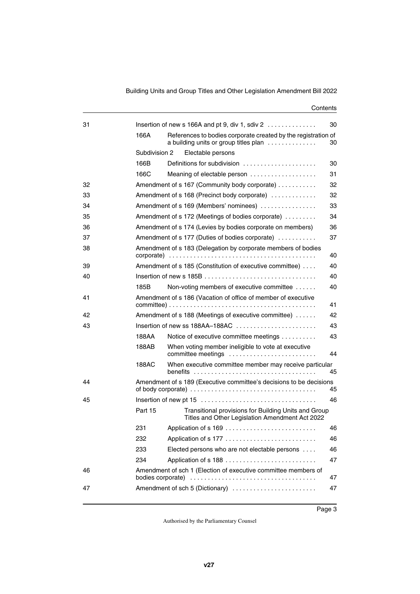| 31 |                   | Insertion of new s 166A and pt 9, div 1, sdiv $2 \ldots \ldots \ldots$                                  | 30 |
|----|-------------------|---------------------------------------------------------------------------------------------------------|----|
|    | 166A              | References to bodies corporate created by the registration of<br>a building units or group titles plan  | 30 |
|    | Subdivision 2     | Electable persons                                                                                       |    |
|    | 166B              | Definitions for subdivision                                                                             | 30 |
|    | 166C              | Meaning of electable person                                                                             | 31 |
| 32 |                   | Amendment of s 167 (Community body corporate)                                                           | 32 |
| 33 |                   | Amendment of s 168 (Precinct body corporate)                                                            | 32 |
| 34 |                   | Amendment of s 169 (Members' nominees)                                                                  | 33 |
| 35 |                   | Amendment of s 172 (Meetings of bodies corporate)                                                       | 34 |
| 36 |                   | Amendment of s 174 (Levies by bodies corporate on members)                                              | 36 |
| 37 |                   | Amendment of s 177 (Duties of bodies corporate)                                                         | 37 |
| 38 |                   | Amendment of s 183 (Delegation by corporate members of bodies                                           | 40 |
| 39 |                   | Amendment of s 185 (Constitution of executive committee)                                                | 40 |
| 40 |                   |                                                                                                         | 40 |
|    | 185B              | Non-voting members of executive committee                                                               | 40 |
| 41 |                   | Amendment of s 186 (Vacation of office of member of executive                                           | 41 |
| 42 |                   | Amendment of s 188 (Meetings of executive committee)                                                    | 42 |
| 43 |                   |                                                                                                         | 43 |
|    | 188AA             | Notice of executive committee meetings                                                                  | 43 |
|    | 188AB             | When voting member ineligible to vote at executive<br>committee meetings                                | 44 |
|    | 188AC             | When executive committee member may receive particular                                                  | 45 |
| 44 |                   | Amendment of s 189 (Executive committee's decisions to be decisions                                     | 45 |
| 45 |                   |                                                                                                         | 46 |
|    | Part 15           | Transitional provisions for Building Units and Group<br>Titles and Other Legislation Amendment Act 2022 |    |
|    | 231               |                                                                                                         | 46 |
|    | 232               | Application of s 177                                                                                    | 46 |
|    | 233               | Elected persons who are not electable persons                                                           | 46 |
|    | 234               |                                                                                                         | 47 |
| 46 | bodies corporate) | Amendment of sch 1 (Election of executive committee members of                                          | 47 |
| 47 |                   | Amendment of sch 5 (Dictionary)                                                                         | 47 |
|    |                   |                                                                                                         |    |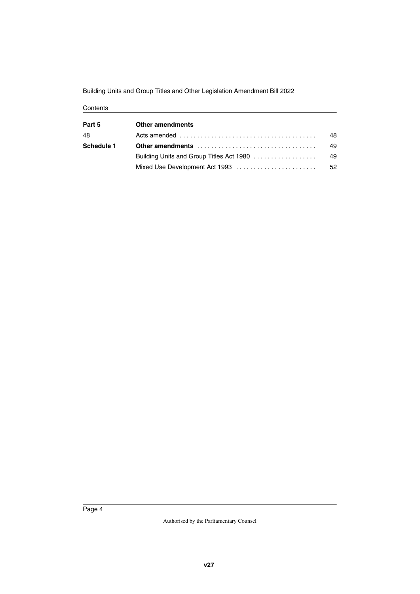Building Units and Group Titles and Other Legislation Amendment Bill 2022

| <b>Other amendments</b>                  |    |
|------------------------------------------|----|
|                                          | 48 |
| Other amendments                         | 49 |
| Building Units and Group Titles Act 1980 | 49 |
|                                          | 52 |
|                                          |    |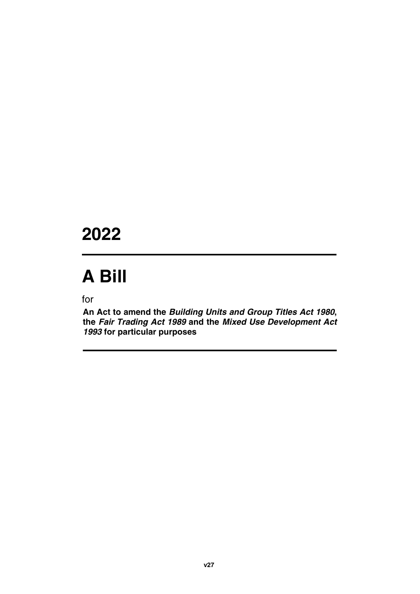## **2022**

# **A Bill**

for

**An Act to amend the** *Building Units and Group Titles Act 1980***, the** *Fair Trading Act 1989* **and the** *Mixed Use Development Act 1993* **for particular purposes**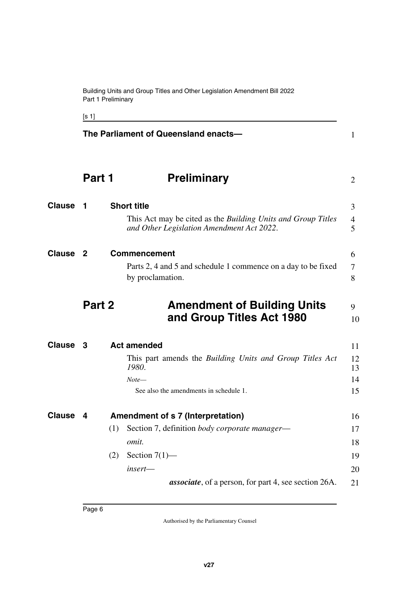Building Units and Group Titles and Other Legislation Amendment Bill 2022 Part 1 Preliminary

<span id="page-7-11"></span><span id="page-7-10"></span><span id="page-7-9"></span><span id="page-7-8"></span><span id="page-7-6"></span><span id="page-7-4"></span><span id="page-7-2"></span>

|               |        | The Parliament of Queensland enacts-                                                                                                                    | $\mathbf{1}$               |
|---------------|--------|---------------------------------------------------------------------------------------------------------------------------------------------------------|----------------------------|
|               | Part 1 | <b>Preliminary</b>                                                                                                                                      | $\overline{2}$             |
| <b>Clause</b> | 1      | <b>Short title</b><br>This Act may be cited as the Building Units and Group Titles<br>and Other Legislation Amendment Act 2022.                         | 3<br>$\overline{4}$<br>5   |
| <b>Clause</b> | 2      | <b>Commencement</b><br>Parts 2, 4 and 5 and schedule 1 commence on a day to be fixed<br>by proclamation.                                                | 6<br>7<br>8                |
|               | Part 2 | <b>Amendment of Building Units</b><br>and Group Titles Act 1980                                                                                         | 9<br>10                    |
| <b>Clause</b> | 3      | <b>Act amended</b><br>This part amends the Building Units and Group Titles Act<br>1980.<br>$Note-$<br>See also the amendments in schedule 1.            | 11<br>12<br>13<br>14<br>15 |
| <b>Clause</b> | 4      | Amendment of s 7 (Interpretation)<br>(1)<br>Section 7, definition <i>body corporate manager</i> —<br><i>omit.</i><br>Section $7(1)$ —<br>(2)<br>insert— | 16<br>17<br>18<br>19<br>20 |
|               |        | <i>associate</i> , of a person, for part 4, see section 26A.                                                                                            | 21                         |

<span id="page-7-7"></span><span id="page-7-5"></span><span id="page-7-3"></span><span id="page-7-1"></span><span id="page-7-0"></span>[s 1]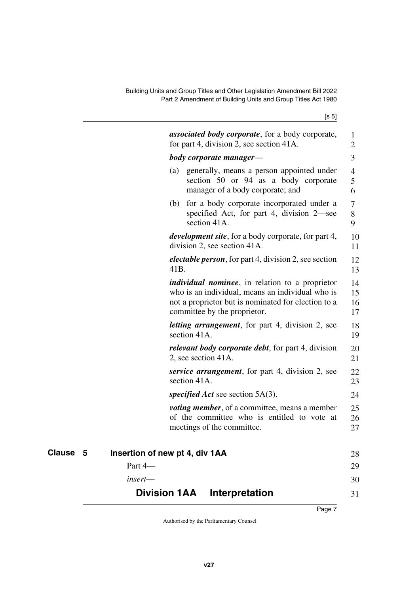<span id="page-8-3"></span>[s 5]

<span id="page-8-2"></span><span id="page-8-1"></span><span id="page-8-0"></span>

|          |            | <b>associated body corporate</b> , for a body corporate,<br>for part 4, division 2, see section 41A.                                                                                               | 1<br>2               |
|----------|------------|----------------------------------------------------------------------------------------------------------------------------------------------------------------------------------------------------|----------------------|
|          |            | body corporate manager—                                                                                                                                                                            | 3                    |
|          |            | generally, means a person appointed under<br>(a)<br>section 50 or 94 as a body corporate<br>manager of a body corporate; and                                                                       | 4<br>5<br>6          |
|          |            | for a body corporate incorporated under a<br>(b)<br>specified Act, for part 4, division 2—see<br>section 41A.                                                                                      | 7<br>8<br>9          |
|          |            | <i>development site</i> , for a body corporate, for part 4,<br>division 2, see section 41A.                                                                                                        | 10<br>11             |
|          |            | <i>electable person</i> , for part 4, division 2, see section<br>41B.                                                                                                                              | 12<br>13             |
|          |            | <i>individual nominee</i> , in relation to a proprietor<br>who is an individual, means an individual who is<br>not a proprietor but is nominated for election to a<br>committee by the proprietor. | 14<br>15<br>16<br>17 |
|          |            | <i>letting arrangement</i> , for part 4, division 2, see<br>section 41A.                                                                                                                           | 18<br>19             |
|          |            | <i>relevant body corporate debt</i> , for part 4, division<br>2, see section 41A.                                                                                                                  | 20<br>21             |
|          |            | <i>service arrangement</i> , for part 4, division 2, see<br>section 41A.                                                                                                                           | 22<br>23             |
|          |            | <i>specified Act</i> see section 5A(3).                                                                                                                                                            | 24                   |
|          |            | <i>voting member</i> , of a committee, means a member<br>of the committee who is entitled to vote at<br>meetings of the committee.                                                                 | 25<br>26<br>27       |
| Clause 5 |            | Insertion of new pt 4, div 1AA                                                                                                                                                                     | 28                   |
|          | Part 4-    |                                                                                                                                                                                                    | 29                   |
|          | $insert$ — |                                                                                                                                                                                                    | 30                   |
|          |            | <b>Division 1AA</b><br>Interpretation                                                                                                                                                              | 31                   |
|          |            |                                                                                                                                                                                                    |                      |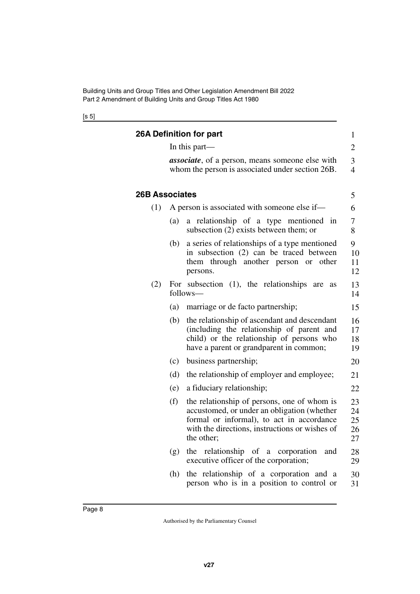[s 5]

<span id="page-9-3"></span><span id="page-9-2"></span><span id="page-9-1"></span><span id="page-9-0"></span>

|                       |     | 26A Definition for part                                                                                                                                                                                 | $\mathbf{1}$               |
|-----------------------|-----|---------------------------------------------------------------------------------------------------------------------------------------------------------------------------------------------------------|----------------------------|
|                       |     | In this part—                                                                                                                                                                                           | $\overline{2}$             |
|                       |     | <i>associate</i> , of a person, means someone else with<br>whom the person is associated under section 26B.                                                                                             | 3<br>$\overline{4}$        |
| <b>26B Associates</b> |     |                                                                                                                                                                                                         | 5                          |
| (1)                   |     | A person is associated with someone else if—                                                                                                                                                            | 6                          |
|                       | (a) | a relationship of a type mentioned in<br>subsection (2) exists between them; or                                                                                                                         | 7<br>8                     |
|                       | (b) | a series of relationships of a type mentioned<br>in subsection (2) can be traced between<br>them through another person or<br>other<br>persons.                                                         | 9<br>10<br>11<br>12        |
| (2)                   |     | For subsection $(1)$ , the relationships<br>are<br>as<br>follows-                                                                                                                                       | 13<br>14                   |
|                       | (a) | marriage or de facto partnership;                                                                                                                                                                       | 15                         |
|                       | (b) | the relationship of ascendant and descendant<br>(including the relationship of parent and<br>child) or the relationship of persons who<br>have a parent or grandparent in common;                       | 16<br>17<br>18<br>19       |
|                       | (c) | business partnership;                                                                                                                                                                                   | 20                         |
|                       | (d) | the relationship of employer and employee;                                                                                                                                                              | 21                         |
|                       | (e) | a fiduciary relationship;                                                                                                                                                                               | 22                         |
|                       | (f) | the relationship of persons, one of whom is<br>accustomed, or under an obligation (whether<br>formal or informal), to act in accordance<br>with the directions, instructions or wishes of<br>the other; | 23<br>24<br>25<br>26<br>27 |
|                       | (g) | the relationship of a corporation<br>and<br>executive officer of the corporation;                                                                                                                       | 28<br>29                   |
|                       | (h) | the relationship of a corporation and a<br>person who is in a position to control or                                                                                                                    | 30<br>31                   |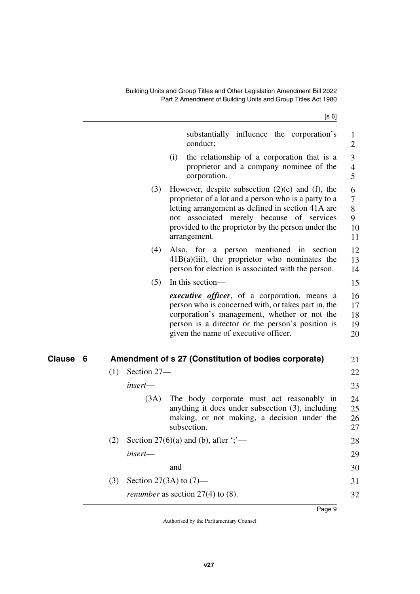[s 6]

<span id="page-10-1"></span><span id="page-10-0"></span>

|          |                    | substantially influence the corporation's<br>conduct;                                                                                                                                                                                                                                | 1<br>$\overline{2}$                |
|----------|--------------------|--------------------------------------------------------------------------------------------------------------------------------------------------------------------------------------------------------------------------------------------------------------------------------------|------------------------------------|
|          |                    | the relationship of a corporation that is a<br>(i)<br>proprietor and a company nominee of the<br>corporation.                                                                                                                                                                        | 3<br>$\overline{\mathcal{A}}$<br>5 |
|          | (3)                | However, despite subsection $(2)(e)$ and $(f)$ , the<br>proprietor of a lot and a person who is a party to a<br>letting arrangement as defined in section 41A are<br>not associated merely because of services<br>provided to the proprietor by the person under the<br>arrangement. | 6<br>7<br>8<br>9<br>10<br>11       |
|          | (4)                | Also, for a person mentioned in section<br>$41B(a)(iii)$ , the proprietor who nominates the<br>person for election is associated with the person.                                                                                                                                    | 12<br>13<br>14                     |
|          | (5)                | In this section—                                                                                                                                                                                                                                                                     | 15                                 |
|          |                    | <i>executive officer</i> , of a corporation, means a<br>person who is concerned with, or takes part in, the<br>corporation's management, whether or not the<br>person is a director or the person's position is<br>given the name of executive officer.                              | 16<br>17<br>18<br>19<br>20         |
| Clause 6 |                    | Amendment of s 27 (Constitution of bodies corporate)                                                                                                                                                                                                                                 | 21                                 |
|          | Section 27-<br>(1) |                                                                                                                                                                                                                                                                                      | 22                                 |
|          | insert—            |                                                                                                                                                                                                                                                                                      | 23                                 |
|          | (3A)               | The body corporate must act reasonably in<br>anything it does under subsection (3), including<br>making, or not making, a decision under the<br>subsection.                                                                                                                          | 24<br>25<br>26<br>27               |
|          | (2)                | Section 27(6)(a) and (b), after $\because$                                                                                                                                                                                                                                           | 28                                 |
|          | insert-            |                                                                                                                                                                                                                                                                                      | 29                                 |
|          |                    | and                                                                                                                                                                                                                                                                                  | 30                                 |
|          | (3)                | Section 27(3A) to $(7)$ —                                                                                                                                                                                                                                                            | 31                                 |
|          |                    | <i>renumber</i> as section $27(4)$ to (8).                                                                                                                                                                                                                                           | 32                                 |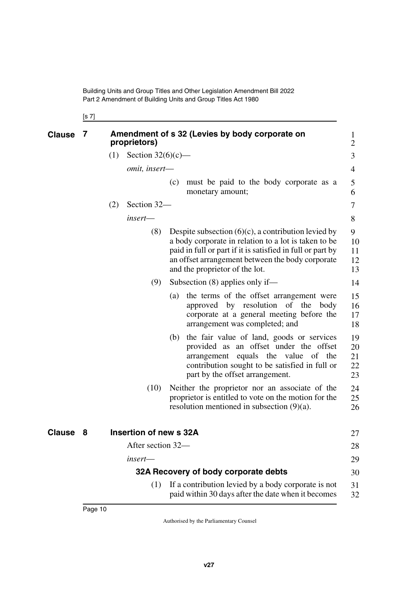<span id="page-11-1"></span><span id="page-11-0"></span>[s 7]

<span id="page-11-5"></span><span id="page-11-4"></span><span id="page-11-3"></span><span id="page-11-2"></span>

| <b>Clause</b> | 7 |     | proprietors)           | Amendment of s 32 (Levies by body corporate on                                                                                                                                                                                                                     | $\bf{l}$<br>$\overline{2}$ |
|---------------|---|-----|------------------------|--------------------------------------------------------------------------------------------------------------------------------------------------------------------------------------------------------------------------------------------------------------------|----------------------------|
|               |   | (1) | Section $32(6)(c)$ —   |                                                                                                                                                                                                                                                                    | 3                          |
|               |   |     | omit, insert-          |                                                                                                                                                                                                                                                                    | 4                          |
|               |   |     |                        | must be paid to the body corporate as a<br>(c)<br>monetary amount;                                                                                                                                                                                                 | 5<br>6                     |
|               |   | (2) | Section 32-            |                                                                                                                                                                                                                                                                    | 7                          |
|               |   |     | insert-                |                                                                                                                                                                                                                                                                    | 8                          |
|               |   |     | (8)                    | Despite subsection $(6)(c)$ , a contribution levied by<br>a body corporate in relation to a lot is taken to be<br>paid in full or part if it is satisfied in full or part by<br>an offset arrangement between the body corporate<br>and the proprietor of the lot. | 9<br>10<br>11<br>12<br>13  |
|               |   |     | (9)                    | Subsection $(8)$ applies only if—                                                                                                                                                                                                                                  | 14                         |
|               |   |     |                        | the terms of the offset arrangement were<br>(a)<br>approved by resolution of the<br>body<br>corporate at a general meeting before the<br>arrangement was completed; and                                                                                            | 15<br>16<br>17<br>18       |
|               |   |     |                        | the fair value of land, goods or services<br>(b)<br>provided as an offset under the offset<br>arrangement equals the value of the<br>contribution sought to be satisfied in full or<br>part by the offset arrangement.                                             | 19<br>20<br>21<br>22<br>23 |
|               |   |     | (10)                   | Neither the proprietor nor an associate of the<br>proprietor is entitled to vote on the motion for the<br>resolution mentioned in subsection $(9)(a)$ .                                                                                                            | 24<br>25<br>26             |
| <b>Clause</b> | 8 |     | Insertion of new s 32A |                                                                                                                                                                                                                                                                    | 27                         |
|               |   |     | After section 32-      |                                                                                                                                                                                                                                                                    | 28                         |
|               |   |     | insert-                |                                                                                                                                                                                                                                                                    | 29                         |
|               |   |     |                        | 32A Recovery of body corporate debts                                                                                                                                                                                                                               | 30                         |
|               |   |     | (1)                    | If a contribution levied by a body corporate is not<br>paid within 30 days after the date when it becomes                                                                                                                                                          | 31<br>32                   |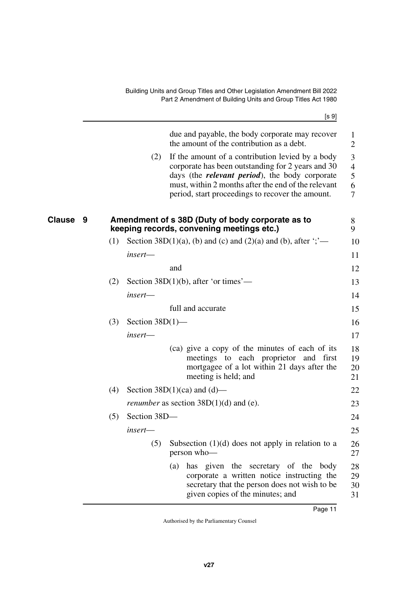[s 9]

<span id="page-12-1"></span><span id="page-12-0"></span>

| due and payable, the body corporate may recover<br>the amount of the contribution as a debt.<br>(2)<br>If the amount of a contribution levied by a body<br>corporate has been outstanding for 2 years and 30<br>days (the <i>relevant period</i> ), the body corporate<br>must, within 2 months after the end of the relevant<br>period, start proceedings to recover the amount.<br>Amendment of s 38D (Duty of body corporate as to<br><b>Clause</b><br>9<br>keeping records, convening meetings etc.)<br>Section 38D(1)(a), (b) and (c) and (2)(a) and (b), after $\dddot{\cdot}$ $\dddot{\cdot}$<br>(1)<br>insert-<br>and<br>(2)<br>Section 38D $(1)(b)$ , after 'or times'—<br>insert-<br>full and accurate<br>(3)<br>Section $38D(1)$ —<br>insert-<br>(ca) give a copy of the minutes of each of its<br>meetings to each proprietor and first<br>mortgagee of a lot within 21 days after the<br>meeting is held; and<br>(4)<br>Section $38D(1)(ca)$ and $(d)$ —<br><i>renumber</i> as section $38D(1)(d)$ and (e).<br>Section 38D-<br>(5)<br>insert—<br>(5)<br>Subsection $(1)(d)$ does not apply in relation to a<br>person who-<br>has given the secretary of the body<br>(a)<br>corporate a written notice instructing the<br>secretary that the person does not wish to be |  |                                  |                                                                                   |
|--------------------------------------------------------------------------------------------------------------------------------------------------------------------------------------------------------------------------------------------------------------------------------------------------------------------------------------------------------------------------------------------------------------------------------------------------------------------------------------------------------------------------------------------------------------------------------------------------------------------------------------------------------------------------------------------------------------------------------------------------------------------------------------------------------------------------------------------------------------------------------------------------------------------------------------------------------------------------------------------------------------------------------------------------------------------------------------------------------------------------------------------------------------------------------------------------------------------------------------------------------------------------------------|--|----------------------------------|-----------------------------------------------------------------------------------|
|                                                                                                                                                                                                                                                                                                                                                                                                                                                                                                                                                                                                                                                                                                                                                                                                                                                                                                                                                                                                                                                                                                                                                                                                                                                                                      |  |                                  | $\mathbf{1}$<br>$\overline{2}$<br>3<br>$\overline{4}$<br>5<br>6<br>$\overline{7}$ |
|                                                                                                                                                                                                                                                                                                                                                                                                                                                                                                                                                                                                                                                                                                                                                                                                                                                                                                                                                                                                                                                                                                                                                                                                                                                                                      |  |                                  | 8<br>9                                                                            |
|                                                                                                                                                                                                                                                                                                                                                                                                                                                                                                                                                                                                                                                                                                                                                                                                                                                                                                                                                                                                                                                                                                                                                                                                                                                                                      |  |                                  | 10                                                                                |
|                                                                                                                                                                                                                                                                                                                                                                                                                                                                                                                                                                                                                                                                                                                                                                                                                                                                                                                                                                                                                                                                                                                                                                                                                                                                                      |  |                                  | 11                                                                                |
|                                                                                                                                                                                                                                                                                                                                                                                                                                                                                                                                                                                                                                                                                                                                                                                                                                                                                                                                                                                                                                                                                                                                                                                                                                                                                      |  |                                  | 12                                                                                |
|                                                                                                                                                                                                                                                                                                                                                                                                                                                                                                                                                                                                                                                                                                                                                                                                                                                                                                                                                                                                                                                                                                                                                                                                                                                                                      |  |                                  | 13                                                                                |
|                                                                                                                                                                                                                                                                                                                                                                                                                                                                                                                                                                                                                                                                                                                                                                                                                                                                                                                                                                                                                                                                                                                                                                                                                                                                                      |  |                                  | 14                                                                                |
|                                                                                                                                                                                                                                                                                                                                                                                                                                                                                                                                                                                                                                                                                                                                                                                                                                                                                                                                                                                                                                                                                                                                                                                                                                                                                      |  |                                  | 15                                                                                |
|                                                                                                                                                                                                                                                                                                                                                                                                                                                                                                                                                                                                                                                                                                                                                                                                                                                                                                                                                                                                                                                                                                                                                                                                                                                                                      |  |                                  | 16                                                                                |
|                                                                                                                                                                                                                                                                                                                                                                                                                                                                                                                                                                                                                                                                                                                                                                                                                                                                                                                                                                                                                                                                                                                                                                                                                                                                                      |  |                                  | 17                                                                                |
|                                                                                                                                                                                                                                                                                                                                                                                                                                                                                                                                                                                                                                                                                                                                                                                                                                                                                                                                                                                                                                                                                                                                                                                                                                                                                      |  |                                  | 18<br>19<br>20<br>21                                                              |
|                                                                                                                                                                                                                                                                                                                                                                                                                                                                                                                                                                                                                                                                                                                                                                                                                                                                                                                                                                                                                                                                                                                                                                                                                                                                                      |  |                                  | 22                                                                                |
|                                                                                                                                                                                                                                                                                                                                                                                                                                                                                                                                                                                                                                                                                                                                                                                                                                                                                                                                                                                                                                                                                                                                                                                                                                                                                      |  |                                  | 23                                                                                |
|                                                                                                                                                                                                                                                                                                                                                                                                                                                                                                                                                                                                                                                                                                                                                                                                                                                                                                                                                                                                                                                                                                                                                                                                                                                                                      |  |                                  | 24                                                                                |
|                                                                                                                                                                                                                                                                                                                                                                                                                                                                                                                                                                                                                                                                                                                                                                                                                                                                                                                                                                                                                                                                                                                                                                                                                                                                                      |  |                                  | 25                                                                                |
|                                                                                                                                                                                                                                                                                                                                                                                                                                                                                                                                                                                                                                                                                                                                                                                                                                                                                                                                                                                                                                                                                                                                                                                                                                                                                      |  |                                  | 26<br>27                                                                          |
|                                                                                                                                                                                                                                                                                                                                                                                                                                                                                                                                                                                                                                                                                                                                                                                                                                                                                                                                                                                                                                                                                                                                                                                                                                                                                      |  | given copies of the minutes; and | 28<br>29<br>30<br>31                                                              |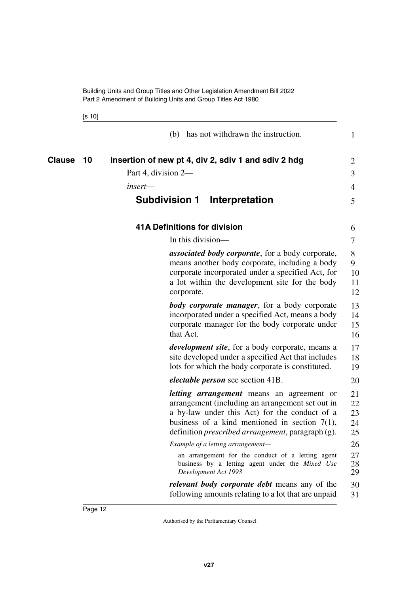<span id="page-13-5"></span><span id="page-13-4"></span><span id="page-13-3"></span><span id="page-13-2"></span><span id="page-13-1"></span><span id="page-13-0"></span>[s 10]

|                     | (b) has not withdrawn the instruction.                                                                                                                                                                                                                                 | 1                          |
|---------------------|------------------------------------------------------------------------------------------------------------------------------------------------------------------------------------------------------------------------------------------------------------------------|----------------------------|
| <b>Clause</b><br>10 | Insertion of new pt 4, div 2, sdiv 1 and sdiv 2 hdg                                                                                                                                                                                                                    | 2                          |
|                     | Part 4, division 2-                                                                                                                                                                                                                                                    | 3                          |
|                     | insert—                                                                                                                                                                                                                                                                | 4                          |
|                     | <b>Subdivision 1</b><br>Interpretation                                                                                                                                                                                                                                 | 5                          |
|                     | <b>41A Definitions for division</b>                                                                                                                                                                                                                                    | 6                          |
|                     | In this division—                                                                                                                                                                                                                                                      | 7                          |
|                     | associated body corporate, for a body corporate,<br>means another body corporate, including a body<br>corporate incorporated under a specified Act, for<br>a lot within the development site for the body<br>corporate.                                                | 8<br>9<br>10<br>11<br>12   |
|                     | <b>body corporate manager</b> , for a body corporate<br>incorporated under a specified Act, means a body<br>corporate manager for the body corporate under<br>that Act.                                                                                                | 13<br>14<br>15<br>16       |
|                     | development site, for a body corporate, means a<br>site developed under a specified Act that includes<br>lots for which the body corporate is constituted.                                                                                                             | 17<br>18<br>19             |
|                     | <i>electable person</i> see section 41B.                                                                                                                                                                                                                               | 20                         |
|                     | <i>letting arrangement</i> means an agreement or<br>arrangement (including an arrangement set out in<br>a by-law under this Act) for the conduct of a<br>business of a kind mentioned in section $7(1)$ ,<br>definition <i>prescribed arrangement</i> , paragraph (g). | 21<br>22<br>23<br>24<br>25 |
|                     | Example of a letting arrangement-                                                                                                                                                                                                                                      | 26                         |
|                     | an arrangement for the conduct of a letting agent<br>business by a letting agent under the Mixed Use<br>Development Act 1993                                                                                                                                           | 27<br>28<br>29             |
|                     | <i>relevant body corporate debt</i> means any of the<br>following amounts relating to a lot that are unpaid                                                                                                                                                            | 30<br>31                   |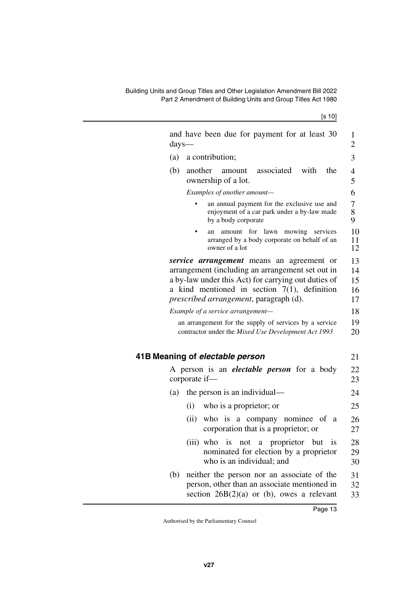[s 10]

<span id="page-14-1"></span><span id="page-14-0"></span>

| days- | and have been due for payment for at least 30                                                                                                                                                                                                            | 1<br>$\overline{2}$        |
|-------|----------------------------------------------------------------------------------------------------------------------------------------------------------------------------------------------------------------------------------------------------------|----------------------------|
| (a)   | a contribution;                                                                                                                                                                                                                                          | 3                          |
| (b)   | another<br>associated<br>with<br>the<br>amount<br>ownership of a lot.                                                                                                                                                                                    | $\overline{4}$<br>5        |
|       | Examples of another amount-                                                                                                                                                                                                                              | 6                          |
|       | an annual payment for the exclusive use and<br>enjoyment of a car park under a by-law made<br>by a body corporate                                                                                                                                        | $\overline{7}$<br>8<br>9   |
|       | amount for lawn mowing<br>services<br>an<br>arranged by a body corporate on behalf of an<br>owner of a lot                                                                                                                                               | 10<br>11<br>12             |
|       | <i>service arrangement</i> means an agreement or<br>arrangement (including an arrangement set out in<br>a by-law under this Act) for carrying out duties of<br>a kind mentioned in section $7(1)$ , definition<br>prescribed arrangement, paragraph (d). | 13<br>14<br>15<br>16<br>17 |
|       | Example of a service arrangement-                                                                                                                                                                                                                        | 18                         |
|       | an arrangement for the supply of services by a service<br>contractor under the Mixed Use Development Act 1993                                                                                                                                            | 19<br>20                   |
|       | 41B Meaning of electable person                                                                                                                                                                                                                          | 21                         |
|       | A person is an <i>electable person</i> for a body<br>corporate if-                                                                                                                                                                                       | 22<br>23                   |
| (a)   | the person is an individual—                                                                                                                                                                                                                             | 24                         |
|       | who is a proprietor; or<br>(i)                                                                                                                                                                                                                           | 25                         |
|       | (ii)<br>who is a company nominee of a<br>corporation that is a proprietor; or                                                                                                                                                                            | 26<br>27                   |
|       | (iii) who is not a proprietor but is<br>nominated for election by a proprietor<br>who is an individual; and                                                                                                                                              | $28\,$<br>29<br>30         |
| (b)   | neither the person nor an associate of the<br>person, other than an associate mentioned in<br>section $26B(2)(a)$ or (b), owes a relevant                                                                                                                | 31<br>32<br>33             |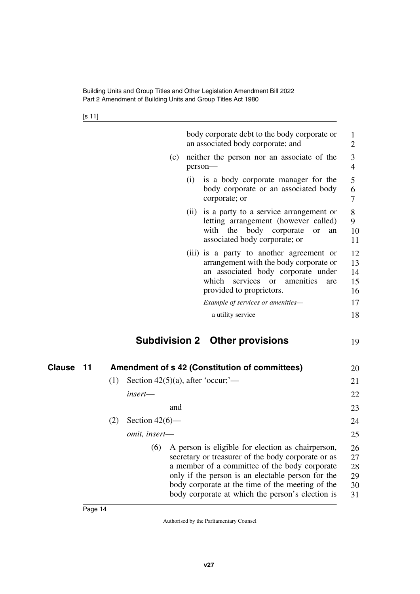<span id="page-15-1"></span>[s 11]

<span id="page-15-3"></span><span id="page-15-2"></span><span id="page-15-0"></span>

|                     | body corporate debt to the body corporate or<br>an associated body corporate; and                                                                                                                                                                                                                                            | 1<br>$\overline{2}$              |
|---------------------|------------------------------------------------------------------------------------------------------------------------------------------------------------------------------------------------------------------------------------------------------------------------------------------------------------------------------|----------------------------------|
|                     | (c)<br>neither the person nor an associate of the<br>person-                                                                                                                                                                                                                                                                 | 3<br>$\overline{4}$              |
|                     | is a body corporate manager for the<br>(i)<br>body corporate or an associated body<br>corporate; or                                                                                                                                                                                                                          | 5<br>6<br>7                      |
|                     | (ii) is a party to a service arrangement or<br>letting arrangement (however called)<br>with the body corporate<br><b>or</b><br>an<br>associated body corporate; or                                                                                                                                                           | 8<br>9<br>10<br>11               |
|                     | (iii) is a party to another agreement or<br>arrangement with the body corporate or<br>an associated body corporate under<br>amenities<br>which<br>services<br><b>or</b><br>are<br>provided to proprietors.                                                                                                                   | 12<br>13<br>14<br>15<br>16       |
|                     | Example of services or amenities-                                                                                                                                                                                                                                                                                            | 17                               |
|                     | a utility service                                                                                                                                                                                                                                                                                                            | 18                               |
|                     | <b>Subdivision 2 Other provisions</b>                                                                                                                                                                                                                                                                                        | 19                               |
| <b>Clause</b><br>11 | Amendment of s 42 (Constitution of committees)                                                                                                                                                                                                                                                                               | 20                               |
|                     | Section $42(5)(a)$ , after 'occur;'—<br>(1)                                                                                                                                                                                                                                                                                  | 21                               |
|                     | insert—                                                                                                                                                                                                                                                                                                                      | 22                               |
|                     | and                                                                                                                                                                                                                                                                                                                          | 23                               |
|                     | Section $42(6)$ —<br>(2)                                                                                                                                                                                                                                                                                                     | 24                               |
|                     | omit, insert-                                                                                                                                                                                                                                                                                                                | 25                               |
|                     | (6)<br>A person is eligible for election as chairperson,<br>secretary or treasurer of the body corporate or as<br>a member of a committee of the body corporate<br>only if the person is an electable person for the<br>body corporate at the time of the meeting of the<br>body corporate at which the person's election is | 26<br>27<br>28<br>29<br>30<br>31 |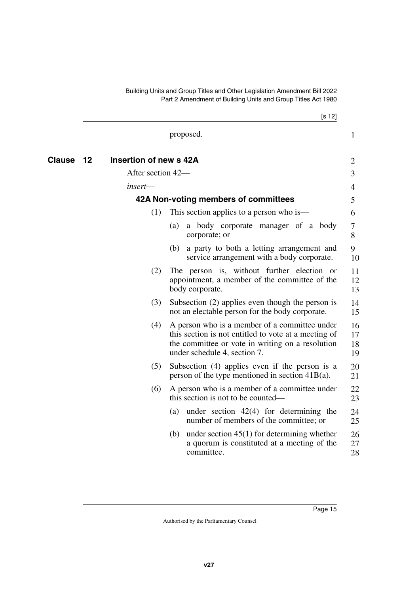<span id="page-16-3"></span><span id="page-16-2"></span><span id="page-16-1"></span><span id="page-16-0"></span>

|        |    |                        |     | [s 12]                                                                                                                                                                                    |                      |
|--------|----|------------------------|-----|-------------------------------------------------------------------------------------------------------------------------------------------------------------------------------------------|----------------------|
|        |    |                        |     | proposed.                                                                                                                                                                                 | $\mathbf{1}$         |
| Clause | 12 | Insertion of new s 42A |     |                                                                                                                                                                                           | 2                    |
|        |    | After section 42-      |     |                                                                                                                                                                                           | 3                    |
|        |    | insert—                |     |                                                                                                                                                                                           | 4                    |
|        |    |                        |     | 42A Non-voting members of committees                                                                                                                                                      | 5                    |
|        |    | (1)                    |     | This section applies to a person who is—                                                                                                                                                  | 6                    |
|        |    |                        | (a) | a body corporate manager of a body<br>corporate; or                                                                                                                                       | 7<br>8               |
|        |    |                        | (b) | a party to both a letting arrangement and<br>service arrangement with a body corporate.                                                                                                   | 9<br>10              |
|        |    | (2)                    |     | The person is, without further election or<br>appointment, a member of the committee of the<br>body corporate.                                                                            | 11<br>12<br>13       |
|        |    | (3)                    |     | Subsection (2) applies even though the person is<br>not an electable person for the body corporate.                                                                                       | 14<br>15             |
|        |    | (4)                    |     | A person who is a member of a committee under<br>this section is not entitled to vote at a meeting of<br>the committee or vote in writing on a resolution<br>under schedule 4, section 7. | 16<br>17<br>18<br>19 |
|        |    | (5)                    |     | Subsection (4) applies even if the person is a<br>person of the type mentioned in section $41B(a)$ .                                                                                      | 20<br>21             |
|        |    | (6)                    |     | A person who is a member of a committee under<br>this section is not to be counted—                                                                                                       | 22<br>23             |
|        |    |                        | (a) | under section $42(4)$ for determining the<br>number of members of the committee; or                                                                                                       | 24<br>25             |
|        |    |                        |     | (b) under section $45(1)$ for determining whether<br>a quorum is constituted at a meeting of the<br>committee.                                                                            | 26<br>27<br>28       |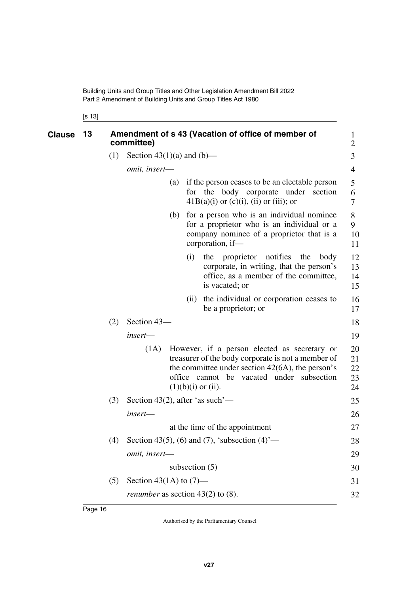<span id="page-17-1"></span><span id="page-17-0"></span>[s 13]

| <b>Clause</b> | 13 |     | Amendment of s 43 (Vacation of office of member of<br>committee) |     |      |                                                                                                                                                                                                                                   |                            |
|---------------|----|-----|------------------------------------------------------------------|-----|------|-----------------------------------------------------------------------------------------------------------------------------------------------------------------------------------------------------------------------------------|----------------------------|
|               |    | (1) | Section $43(1)(a)$ and $(b)$ —                                   |     |      |                                                                                                                                                                                                                                   | 3                          |
|               |    |     | omit, insert-                                                    |     |      |                                                                                                                                                                                                                                   | 4                          |
|               |    |     |                                                                  | (a) |      | if the person ceases to be an electable person<br>for the body corporate under section<br>$41B(a)(i)$ or $(c)(i)$ , $(ii)$ or $(iii)$ ; or                                                                                        | 5<br>6<br>7                |
|               |    |     |                                                                  | (b) |      | for a person who is an individual nominee<br>for a proprietor who is an individual or a<br>company nominee of a proprietor that is a<br>corporation, if-                                                                          | 8<br>9<br>10<br>11         |
|               |    |     |                                                                  |     | (i)  | proprietor notifies the<br>the<br>body<br>corporate, in writing, that the person's<br>office, as a member of the committee,<br>is vacated; or                                                                                     | 12<br>13<br>14<br>15       |
|               |    |     |                                                                  |     | (ii) | the individual or corporation ceases to<br>be a proprietor; or                                                                                                                                                                    | 16<br>17                   |
|               |    | (2) | Section 43-                                                      |     |      |                                                                                                                                                                                                                                   | 18                         |
|               |    |     | insert-                                                          |     |      |                                                                                                                                                                                                                                   | 19                         |
|               |    |     | (1A)                                                             |     |      | However, if a person elected as secretary or<br>treasurer of the body corporate is not a member of<br>the committee under section $42(6A)$ , the person's<br>office cannot be vacated under subsection<br>$(1)(b)(i)$ or $(ii)$ . | 20<br>21<br>22<br>23<br>24 |
|               |    | (3) | Section 43(2), after 'as such'—                                  |     |      |                                                                                                                                                                                                                                   | 25                         |
|               |    |     | insert-                                                          |     |      |                                                                                                                                                                                                                                   | 26                         |
|               |    |     |                                                                  |     |      | at the time of the appointment                                                                                                                                                                                                    | 27                         |
|               |    | (4) |                                                                  |     |      | Section 43(5), (6) and (7), 'subsection $(4)$ '—                                                                                                                                                                                  | 28                         |
|               |    |     | omit, insert-                                                    |     |      |                                                                                                                                                                                                                                   | 29                         |
|               |    |     |                                                                  |     |      | subsection $(5)$                                                                                                                                                                                                                  | 30                         |
|               |    | (5) | Section 43(1A) to $(7)$ —                                        |     |      |                                                                                                                                                                                                                                   | 31                         |
|               |    |     | <i>renumber</i> as section $43(2)$ to $(8)$ .                    |     |      |                                                                                                                                                                                                                                   | 32                         |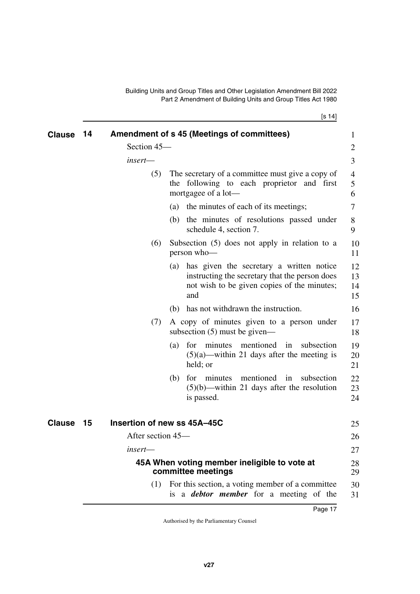$[s_1 14]$ 

<span id="page-18-5"></span><span id="page-18-4"></span><span id="page-18-3"></span><span id="page-18-2"></span><span id="page-18-1"></span><span id="page-18-0"></span>

| <b>Clause</b> | 14 |                   | Amendment of s 45 (Meetings of committees)                                                                                                           | 1                    |
|---------------|----|-------------------|------------------------------------------------------------------------------------------------------------------------------------------------------|----------------------|
|               |    | Section 45-       |                                                                                                                                                      | $\overline{2}$       |
|               |    | insert-           |                                                                                                                                                      | 3                    |
|               |    | (5)               | The secretary of a committee must give a copy of<br>following to each proprietor and first<br>the<br>mortgagee of a lot—                             | 4<br>5<br>6          |
|               |    |                   | (a) the minutes of each of its meetings;                                                                                                             | 7                    |
|               |    |                   | the minutes of resolutions passed under<br>(b)<br>schedule 4, section 7.                                                                             | 8<br>9               |
|               |    | (6)               | Subsection $(5)$ does not apply in relation to a<br>person who-                                                                                      | 10<br>11             |
|               |    |                   | (a) has given the secretary a written notice<br>instructing the secretary that the person does<br>not wish to be given copies of the minutes;<br>and | 12<br>13<br>14<br>15 |
|               |    |                   | (b) has not withdrawn the instruction.                                                                                                               | 16                   |
|               |    | (7)               | A copy of minutes given to a person under<br>subsection $(5)$ must be given—                                                                         | 17<br>18             |
|               |    |                   | for minutes mentioned in subsection<br>(a)<br>$(5)(a)$ —within 21 days after the meeting is<br>held; or                                              | 19<br>20<br>21       |
|               |    |                   | mentioned in<br>for minutes<br>subsection<br>(b)<br>$(5)(b)$ —within 21 days after the resolution<br>is passed.                                      | 22<br>23<br>24       |
| <b>Clause</b> | 15 |                   | Insertion of new ss 45A-45C                                                                                                                          | 25                   |
|               |    | After section 45— |                                                                                                                                                      | 26                   |
|               |    | insert—           |                                                                                                                                                      | 27                   |
|               |    |                   | 45A When voting member ineligible to vote at<br>committee meetings                                                                                   | 28<br>29             |
|               |    | (1)               | For this section, a voting member of a committee<br>is a <b><i>debtor</i></b> member for a meeting of the                                            | 30<br>31             |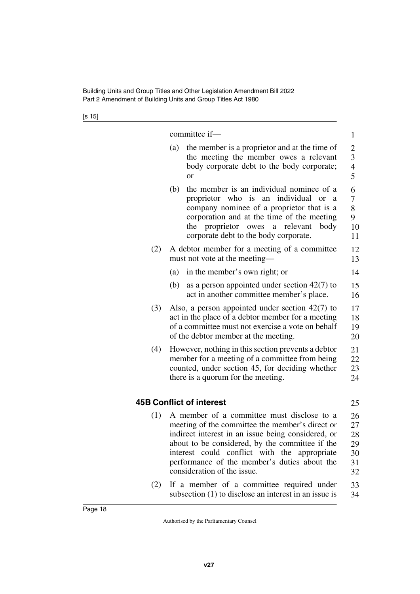[s 15]

|     | committee if-                                                                                                                                                                                                                                                                                                                               | $\mathbf{1}$                                                      |  |  |  |  |
|-----|---------------------------------------------------------------------------------------------------------------------------------------------------------------------------------------------------------------------------------------------------------------------------------------------------------------------------------------------|-------------------------------------------------------------------|--|--|--|--|
|     | (a)<br>the member is a proprietor and at the time of<br>the meeting the member owes a relevant<br>body corporate debt to the body corporate;<br><b>or</b>                                                                                                                                                                                   | $\overline{c}$<br>$\overline{3}$<br>$\overline{\mathcal{L}}$<br>5 |  |  |  |  |
|     | the member is an individual nominee of a<br>(b)<br>proprietor who is an individual or<br>a<br>company nominee of a proprietor that is a<br>corporation and at the time of the meeting<br>proprietor owes<br>the<br>a relevant<br>body<br>corporate debt to the body corporate.                                                              | 6<br>$\overline{7}$<br>8<br>9<br>10<br>11                         |  |  |  |  |
| (2) | A debtor member for a meeting of a committee<br>must not vote at the meeting-                                                                                                                                                                                                                                                               | 12<br>13                                                          |  |  |  |  |
|     | in the member's own right; or<br>(a)                                                                                                                                                                                                                                                                                                        | 14                                                                |  |  |  |  |
|     | (b)<br>as a person appointed under section $42(7)$ to<br>act in another committee member's place.                                                                                                                                                                                                                                           | 15<br>16                                                          |  |  |  |  |
| (3) | Also, a person appointed under section $42(7)$ to<br>act in the place of a debtor member for a meeting<br>of a committee must not exercise a vote on behalf<br>of the debtor member at the meeting.                                                                                                                                         |                                                                   |  |  |  |  |
| (4) | However, nothing in this section prevents a debtor<br>member for a meeting of a committee from being<br>counted, under section 45, for deciding whether<br>there is a quorum for the meeting.                                                                                                                                               |                                                                   |  |  |  |  |
|     | <b>45B Conflict of interest</b>                                                                                                                                                                                                                                                                                                             | 25                                                                |  |  |  |  |
| (1) | A member of a committee must disclose to a<br>meeting of the committee the member's direct or<br>indirect interest in an issue being considered, or<br>about to be considered, by the committee if the<br>interest could conflict with<br>the<br>appropriate<br>performance of the member's duties about the<br>consideration of the issue. | 26<br>27<br>28<br>29<br>30<br>31<br>32                            |  |  |  |  |
|     |                                                                                                                                                                                                                                                                                                                                             |                                                                   |  |  |  |  |

<span id="page-19-1"></span><span id="page-19-0"></span>(2) If a member of a committee required under subsection (1) to disclose an interest in an issue is 33 34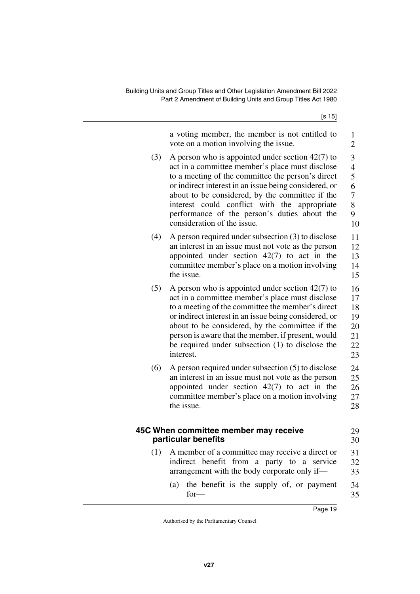<span id="page-20-1"></span><span id="page-20-0"></span>

|     | a voting member, the member is not entitled to<br>vote on a motion involving the issue.                     | $\mathbf{1}$<br>$\overline{2}$ |
|-----|-------------------------------------------------------------------------------------------------------------|--------------------------------|
| (3) | A person who is appointed under section $42(7)$ to                                                          | 3                              |
|     | act in a committee member's place must disclose                                                             | $\overline{4}$                 |
|     | to a meeting of the committee the person's direct<br>or indirect interest in an issue being considered, or  | 5<br>6                         |
|     | about to be considered, by the committee if the                                                             | 7                              |
|     | interest could conflict with<br>the<br>appropriate                                                          | 8                              |
|     | performance of the person's duties about the<br>consideration of the issue.                                 | 9                              |
|     |                                                                                                             | 10                             |
| (4) | A person required under subsection $(3)$ to disclose<br>an interest in an issue must not vote as the person | 11<br>12                       |
|     | appointed under section $42(7)$ to act in the                                                               | 13                             |
|     | committee member's place on a motion involving                                                              | 14                             |
|     | the issue.                                                                                                  | 15                             |
| (5) | A person who is appointed under section $42(7)$ to                                                          | 16                             |
|     | act in a committee member's place must disclose<br>to a meeting of the committee the member's direct        | 17<br>18                       |
|     | or indirect interest in an issue being considered, or                                                       | 19                             |
|     | about to be considered, by the committee if the                                                             | 20                             |
|     | person is aware that the member, if present, would                                                          | 21                             |
|     | be required under subsection (1) to disclose the<br>interest.                                               | 22<br>23                       |
|     |                                                                                                             | 24                             |
| (6) | A person required under subsection $(5)$ to disclose<br>an interest in an issue must not vote as the person | 25                             |
|     | appointed under section $42(7)$ to act in the                                                               | 26                             |
|     | committee member's place on a motion involving                                                              | 27                             |
|     | the issue.                                                                                                  | 28                             |
|     |                                                                                                             |                                |
|     | 45C When committee member may receive<br>particular benefits                                                | 29<br>30                       |
| (1) | A member of a committee may receive a direct or                                                             | 31                             |
|     | indirect benefit from a party to a service                                                                  | 32                             |
|     | arrangement with the body corporate only if—                                                                | 33                             |
|     | the benefit is the supply of, or payment<br>(a)<br>$for-$                                                   | 34<br>35                       |
|     |                                                                                                             |                                |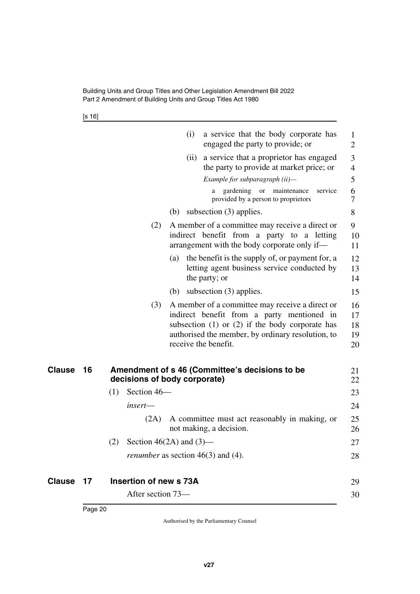[s 16]

<span id="page-21-3"></span><span id="page-21-2"></span><span id="page-21-1"></span><span id="page-21-0"></span>

|               |    |                        | (i)<br>a service that the body corporate has<br>engaged the party to provide; or                                                                                                                                                  | 1<br>$\overline{2}$        |
|---------------|----|------------------------|-----------------------------------------------------------------------------------------------------------------------------------------------------------------------------------------------------------------------------------|----------------------------|
|               |    |                        | (ii) a service that a proprietor has engaged<br>the party to provide at market price; or                                                                                                                                          | 3<br>4                     |
|               |    |                        | Example for subparagraph (ii)-                                                                                                                                                                                                    | 5                          |
|               |    |                        | gardening or<br>maintenance<br>a<br>provided by a person to proprietors                                                                                                                                                           | 6<br>service<br>7          |
|               |    |                        | subsection (3) applies.<br>(b)                                                                                                                                                                                                    | 8                          |
|               |    | (2)                    | A member of a committee may receive a direct or<br>indirect benefit from a party to a letting<br>arrangement with the body corporate only if—                                                                                     | 9<br>10<br>11              |
|               |    |                        | the benefit is the supply of, or payment for, a<br>(a)<br>letting agent business service conducted by<br>the party; or                                                                                                            | 12<br>13<br>14             |
|               |    |                        | subsection $(3)$ applies.<br>(b)                                                                                                                                                                                                  | 15                         |
|               |    | (3)                    | A member of a committee may receive a direct or<br>indirect benefit from a party mentioned in<br>subsection $(1)$ or $(2)$ if the body corporate has<br>authorised the member, by ordinary resolution, to<br>receive the benefit. | 16<br>17<br>18<br>19<br>20 |
| Clause        | 16 |                        | Amendment of s 46 (Committee's decisions to be<br>decisions of body corporate)                                                                                                                                                    | 21<br>22                   |
|               |    | Section 46-<br>(1)     |                                                                                                                                                                                                                                   | 23                         |
|               |    | insert-                |                                                                                                                                                                                                                                   | 24                         |
|               |    | (2A)                   | A committee must act reasonably in making, or<br>not making, a decision.                                                                                                                                                          | 25<br>26                   |
|               |    | (2)                    | Section $46(2A)$ and $(3)$ —                                                                                                                                                                                                      | 27                         |
|               |    |                        | <i>renumber</i> as section $46(3)$ and $(4)$ .                                                                                                                                                                                    | 28                         |
| <b>Clause</b> | 17 | Insertion of new s 73A |                                                                                                                                                                                                                                   | 29                         |
|               |    | After section 73-      |                                                                                                                                                                                                                                   | 30                         |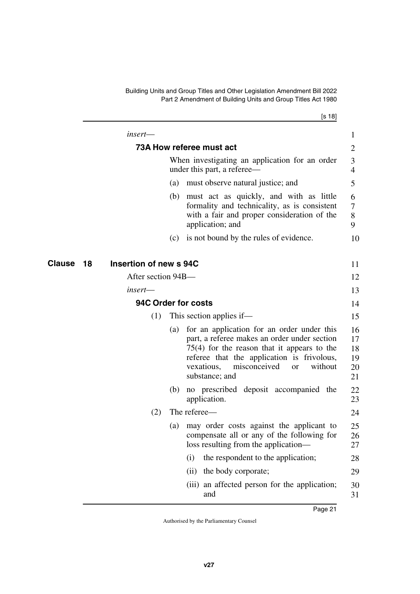[s 18]

<span id="page-22-5"></span><span id="page-22-4"></span><span id="page-22-3"></span><span id="page-22-2"></span><span id="page-22-1"></span><span id="page-22-0"></span>

|              | $insert$ —             |     |                                                                                                                                                                                                                                                                   | $\mathbf{1}$                     |
|--------------|------------------------|-----|-------------------------------------------------------------------------------------------------------------------------------------------------------------------------------------------------------------------------------------------------------------------|----------------------------------|
|              |                        |     | 73A How referee must act                                                                                                                                                                                                                                          | 2                                |
|              |                        |     | When investigating an application for an order<br>under this part, a referee—                                                                                                                                                                                     | 3<br>$\overline{4}$              |
|              |                        | (a) | must observe natural justice; and                                                                                                                                                                                                                                 | 5                                |
|              |                        |     | (b) must act as quickly, and with as little<br>formality and technicality, as is consistent<br>with a fair and proper consideration of the<br>application; and                                                                                                    | 6<br>$\tau$<br>8<br>9            |
|              |                        | (c) | is not bound by the rules of evidence.                                                                                                                                                                                                                            | 10                               |
| Clause<br>18 | Insertion of new s 94C |     |                                                                                                                                                                                                                                                                   | 11                               |
|              | After section 94B-     |     |                                                                                                                                                                                                                                                                   | 12                               |
|              | $insert$ —             |     |                                                                                                                                                                                                                                                                   | 13                               |
|              | 94C Order for costs    |     |                                                                                                                                                                                                                                                                   | 14                               |
|              | (1)                    |     | This section applies if—                                                                                                                                                                                                                                          | 15                               |
|              |                        | (a) | for an application for an order under this<br>part, a referee makes an order under section<br>$75(4)$ for the reason that it appears to the<br>referee that the application is frivolous,<br>vexatious,<br>misconceived<br>without<br><b>or</b><br>substance; and | 16<br>17<br>18<br>19<br>20<br>21 |
|              |                        | (b) | no prescribed deposit accompanied the<br>application.                                                                                                                                                                                                             | 22<br>23                         |
|              | (2)                    |     | The referee—                                                                                                                                                                                                                                                      | 24                               |
|              |                        | (a) | may order costs against the applicant to<br>compensate all or any of the following for<br>loss resulting from the application-                                                                                                                                    | 25<br>26<br>27                   |
|              |                        |     | the respondent to the application;<br>(i)                                                                                                                                                                                                                         | 28                               |
|              |                        |     | the body corporate;<br>(ii)                                                                                                                                                                                                                                       | 29                               |
|              |                        |     | an affected person for the application;<br>(iii)<br>and                                                                                                                                                                                                           | 30<br>31                         |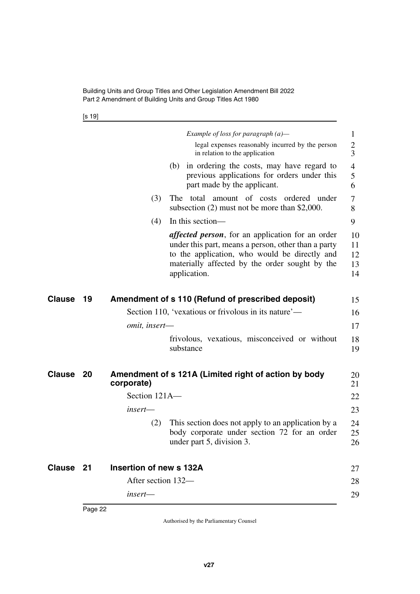[s 19]

<span id="page-23-5"></span><span id="page-23-4"></span><span id="page-23-3"></span><span id="page-23-2"></span><span id="page-23-1"></span><span id="page-23-0"></span>

|           |    |                         | Example of loss for paragraph $(a)$ —                                                                                                                                                                                              | $\mathbf{1}$               |
|-----------|----|-------------------------|------------------------------------------------------------------------------------------------------------------------------------------------------------------------------------------------------------------------------------|----------------------------|
|           |    |                         | legal expenses reasonably incurred by the person<br>in relation to the application                                                                                                                                                 | 2<br>3                     |
|           |    |                         | (b) in ordering the costs, may have regard to<br>previous applications for orders under this<br>part made by the applicant.                                                                                                        | 4<br>5<br>6                |
|           |    | (3)                     | The total amount of costs<br>ordered<br>under<br>subsection $(2)$ must not be more than \$2,000.                                                                                                                                   | 7<br>8                     |
|           |    | (4)                     | In this section-                                                                                                                                                                                                                   | 9                          |
|           |    |                         | <i>affected person</i> , for an application for an order<br>under this part, means a person, other than a party<br>to the application, who would be directly and<br>materially affected by the order sought by the<br>application. | 10<br>11<br>12<br>13<br>14 |
| Clause    | 19 |                         | Amendment of s 110 (Refund of prescribed deposit)                                                                                                                                                                                  | 15                         |
|           |    |                         | Section 110, 'vexatious or frivolous in its nature'—                                                                                                                                                                               | 16                         |
|           |    | omit, insert-           |                                                                                                                                                                                                                                    | 17                         |
|           |    |                         | frivolous, vexatious, misconceived or without<br>substance                                                                                                                                                                         | 18<br>19                   |
| Clause    | 20 | corporate)              | Amendment of s 121A (Limited right of action by body                                                                                                                                                                               | 20<br>21                   |
|           |    | Section 121A-           |                                                                                                                                                                                                                                    | 22                         |
|           |    | insert—                 |                                                                                                                                                                                                                                    | 23                         |
|           |    | (2)                     | This section does not apply to an application by a<br>body corporate under section 72 for an order<br>under part 5, division 3.                                                                                                    | 24<br>25<br>26             |
| Clause 21 |    | Insertion of new s 132A |                                                                                                                                                                                                                                    | 27                         |
|           |    | After section 132-      |                                                                                                                                                                                                                                    | 28                         |
|           |    | insert-                 |                                                                                                                                                                                                                                    | 29                         |
|           |    |                         |                                                                                                                                                                                                                                    |                            |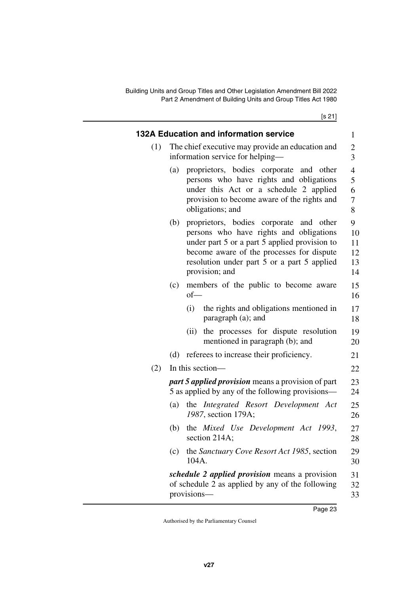[s 21]

<span id="page-24-1"></span><span id="page-24-0"></span>

|     | 132A Education and information service                                                                                                                                                                                                                      |                                                  |
|-----|-------------------------------------------------------------------------------------------------------------------------------------------------------------------------------------------------------------------------------------------------------------|--------------------------------------------------|
| (1) | The chief executive may provide an education and<br>information service for helping—                                                                                                                                                                        | $\mathbf{1}$<br>$\overline{c}$<br>$\overline{3}$ |
|     | proprietors, bodies corporate<br>(a)<br>and other<br>persons who have rights and obligations<br>under this Act or a schedule 2 applied<br>provision to become aware of the rights and<br>obligations; and                                                   | $\overline{4}$<br>5<br>6<br>7<br>8               |
|     | proprietors, bodies corporate<br>(b)<br>and other<br>persons who have rights and obligations<br>under part 5 or a part 5 applied provision to<br>become aware of the processes for dispute<br>resolution under part 5 or a part 5 applied<br>provision; and | 9<br>10<br>11<br>12<br>13<br>14                  |
|     | members of the public to become aware<br>(c)<br>$of$ —                                                                                                                                                                                                      | 15<br>16                                         |
|     | (i)<br>the rights and obligations mentioned in<br>paragraph (a); and                                                                                                                                                                                        | 17<br>18                                         |
|     | the processes for dispute resolution<br>(ii)<br>mentioned in paragraph (b); and                                                                                                                                                                             | 19<br>20                                         |
|     | (d) referees to increase their proficiency.                                                                                                                                                                                                                 | 21                                               |
| (2) | In this section-                                                                                                                                                                                                                                            | 22                                               |
|     | <i>part 5 applied provision</i> means a provision of part<br>5 as applied by any of the following provisions—                                                                                                                                               | 23<br>24                                         |
|     | the Integrated Resort Development Act<br>(a)<br>1987, section 179A;                                                                                                                                                                                         | 25<br>26                                         |
|     | the Mixed Use Development Act 1993,<br>(b)<br>section 214A;                                                                                                                                                                                                 | 27<br>28                                         |
|     | the Sanctuary Cove Resort Act 1985, section<br>(c)<br>104A.                                                                                                                                                                                                 | 29<br>30                                         |
|     | <i>schedule 2 applied provision</i> means a provision<br>of schedule 2 as applied by any of the following<br>provisions-                                                                                                                                    | 31<br>32<br>33                                   |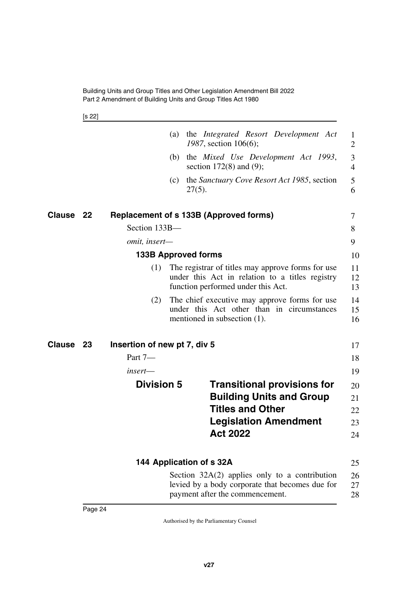<span id="page-25-7"></span><span id="page-25-3"></span><span id="page-25-2"></span><span id="page-25-1"></span>[s 22]

<span id="page-25-9"></span><span id="page-25-8"></span><span id="page-25-6"></span><span id="page-25-5"></span><span id="page-25-4"></span><span id="page-25-0"></span>

|                  |    |                              | (a) | the <i>Integrated</i> Resort Development Act<br>1987, section 106(6);                                                                      | 1<br>$\overline{2}$ |
|------------------|----|------------------------------|-----|--------------------------------------------------------------------------------------------------------------------------------------------|---------------------|
|                  |    |                              |     | (b) the Mixed Use Development Act 1993,<br>section $172(8)$ and $(9)$ ;                                                                    | 3<br>$\overline{4}$ |
|                  |    |                              | (c) | the Sanctuary Cove Resort Act 1985, section<br>$27(5)$ .                                                                                   | 5<br>6              |
| <b>Clause 22</b> |    |                              |     | Replacement of s 133B (Approved forms)                                                                                                     | 7                   |
|                  |    | Section 133B-                |     |                                                                                                                                            | 8                   |
|                  |    | omit, insert-                |     |                                                                                                                                            | 9                   |
|                  |    |                              |     | <b>133B Approved forms</b>                                                                                                                 | 10                  |
|                  |    | (1)                          |     | The registrar of titles may approve forms for use<br>under this Act in relation to a titles registry<br>function performed under this Act. | 11<br>12<br>13      |
|                  |    | (2)                          |     | The chief executive may approve forms for use<br>under this Act other than in circumstances<br>mentioned in subsection (1).                | 14<br>15<br>16      |
| Clause           | 23 | Insertion of new pt 7, div 5 |     |                                                                                                                                            | 17                  |
|                  |    | Part 7-                      |     |                                                                                                                                            | 18                  |
|                  |    | $insert$ —                   |     |                                                                                                                                            | 19                  |
|                  |    | <b>Division 5</b>            |     | <b>Transitional provisions for</b><br><b>Building Units and Group</b>                                                                      | 20<br>21            |
|                  |    |                              |     | <b>Titles and Other</b>                                                                                                                    | 22                  |
|                  |    |                              |     | <b>Legislation Amendment</b><br><b>Act 2022</b>                                                                                            | 23<br>24            |
|                  |    |                              |     | 144 Application of s 32A                                                                                                                   | 25                  |
|                  |    |                              |     | Section $32A(2)$ applies only to a contribution<br>levied by a body corporate that becomes due for<br>payment after the commencement.      | 26<br>27<br>28      |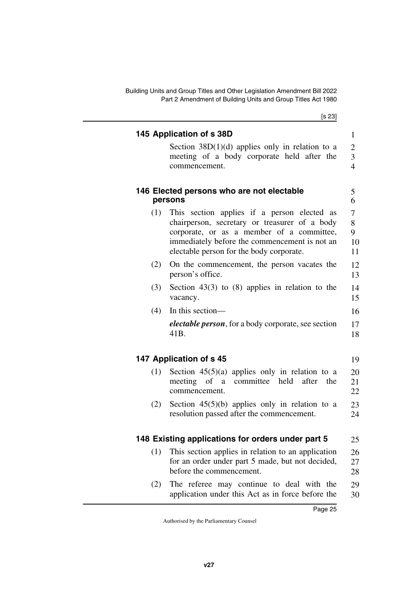[s 23]

<span id="page-26-7"></span><span id="page-26-6"></span><span id="page-26-5"></span><span id="page-26-4"></span><span id="page-26-3"></span><span id="page-26-2"></span><span id="page-26-1"></span><span id="page-26-0"></span>

|     | Section $38D(1)(d)$ applies only in relation to a                                                                                                                                                                                      |
|-----|----------------------------------------------------------------------------------------------------------------------------------------------------------------------------------------------------------------------------------------|
|     | meeting of a body corporate held after the<br>commencement.                                                                                                                                                                            |
|     | 146 Elected persons who are not electable<br>persons                                                                                                                                                                                   |
| (1) | This section applies if a person elected as<br>chairperson, secretary or treasurer of a body<br>corporate, or as a member of a committee,<br>immediately before the commencement is not an<br>electable person for the body corporate. |
| (2) | On the commencement, the person vacates the<br>person's office.                                                                                                                                                                        |
| (3) | Section 43(3) to $(8)$ applies in relation to the<br>vacancy.                                                                                                                                                                          |
| (4) | In this section-                                                                                                                                                                                                                       |
|     | <i>electable person</i> , for a body corporate, see section<br>41B.                                                                                                                                                                    |
|     | 147 Application of s 45                                                                                                                                                                                                                |
| (1) | Section $45(5)(a)$ applies only in relation to a<br>meeting of a committee held after the<br>commencement.                                                                                                                             |
| (2) | Section $45(5)(b)$ applies only in relation to a<br>resolution passed after the commencement.                                                                                                                                          |
|     | 148 Existing applications for orders under part 5                                                                                                                                                                                      |
| (1) | This section applies in relation to an application<br>for an order under part 5 made, but not decided,<br>before the commencement.                                                                                                     |
| (2) | The referee may continue to deal with the<br>application under this Act as in force before the                                                                                                                                         |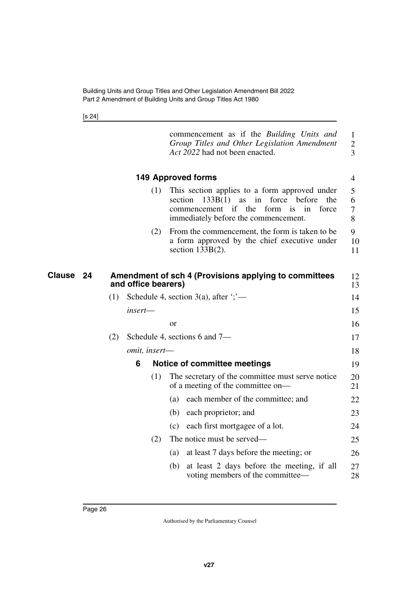<span id="page-27-1"></span><span id="page-27-0"></span>[s 24]

<span id="page-27-3"></span><span id="page-27-2"></span>

|                     |     |                     |               | commencement as if the Building Units and<br>Group Titles and Other Legislation Amendment<br>Act 2022 had not been enacted.                                                                       | $\mathbf{1}$<br>$\mathbf{2}$<br>3 |
|---------------------|-----|---------------------|---------------|---------------------------------------------------------------------------------------------------------------------------------------------------------------------------------------------------|-----------------------------------|
|                     |     |                     |               | <b>149 Approved forms</b>                                                                                                                                                                         | $\overline{4}$                    |
|                     |     | (1)                 | section       | This section applies to a form approved under<br>133B(1)<br>as<br>force<br>before<br>the<br>in<br>commencement if the<br>form<br>force<br><i>is</i><br>in<br>immediately before the commencement. | 5<br>6<br>7<br>8                  |
|                     |     | (2)                 |               | From the commencement, the form is taken to be.<br>a form approved by the chief executive under<br>section $133B(2)$ .                                                                            | 9<br>10<br>11                     |
| <b>Clause</b><br>24 |     | and office bearers) |               | Amendment of sch 4 (Provisions applying to committees                                                                                                                                             | 12<br>13                          |
|                     | (1) |                     |               | Schedule 4, section 3(a), after $\cdot$ ; $\cdot$ —                                                                                                                                               | 14                                |
|                     |     | insert-             |               |                                                                                                                                                                                                   | 15                                |
|                     |     |                     | <sub>or</sub> |                                                                                                                                                                                                   | 16                                |
|                     | (2) |                     |               | Schedule 4, sections 6 and 7-                                                                                                                                                                     | 17                                |
|                     |     | omit, insert-       |               |                                                                                                                                                                                                   | 18                                |
|                     |     | 6                   |               | <b>Notice of committee meetings</b>                                                                                                                                                               | 19                                |
|                     |     | (1)                 |               | The secretary of the committee must serve notice<br>of a meeting of the committee on-                                                                                                             | 20<br>21                          |
|                     |     |                     | (a)           | each member of the committee; and                                                                                                                                                                 | 22                                |
|                     |     |                     | (b)           | each proprietor; and                                                                                                                                                                              | 23                                |
|                     |     |                     | (c)           | each first mortgagee of a lot.                                                                                                                                                                    | 24                                |
|                     |     | (2)                 |               | The notice must be served—                                                                                                                                                                        | 25                                |
|                     |     |                     | (a)           | at least 7 days before the meeting; or                                                                                                                                                            | 26                                |
|                     |     |                     | (b)           | at least 2 days before the meeting, if all<br>voting members of the committee—                                                                                                                    | 27<br>28                          |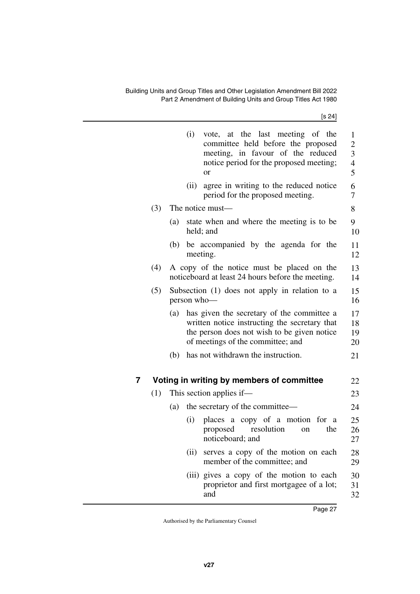[s 24]

|                                                                                                        |                                                                      |     | (i)  | vote, at the last meeting of the<br>committee held before the proposed<br>meeting, in favour of the reduced<br>notice period for the proposed meeting;<br><sub>or</sub>         | $\mathbf{1}$<br>$\overline{c}$<br>$\overline{\mathbf{3}}$<br>$\overline{4}$<br>5 |  |  |
|--------------------------------------------------------------------------------------------------------|----------------------------------------------------------------------|-----|------|---------------------------------------------------------------------------------------------------------------------------------------------------------------------------------|----------------------------------------------------------------------------------|--|--|
|                                                                                                        |                                                                      |     | (ii) | agree in writing to the reduced notice<br>period for the proposed meeting.                                                                                                      | 6<br>7                                                                           |  |  |
|                                                                                                        | (3)                                                                  |     |      | The notice must—                                                                                                                                                                | 8                                                                                |  |  |
|                                                                                                        |                                                                      | (a) |      | state when and where the meeting is to be<br>held; and                                                                                                                          | 9<br>10                                                                          |  |  |
|                                                                                                        |                                                                      | (b) |      | be accompanied by the agenda for the<br>meeting.                                                                                                                                | 11<br>12                                                                         |  |  |
| A copy of the notice must be placed on the<br>(4)<br>noticeboard at least 24 hours before the meeting. |                                                                      |     |      |                                                                                                                                                                                 |                                                                                  |  |  |
|                                                                                                        | (5)<br>Subsection (1) does not apply in relation to a<br>person who- |     |      |                                                                                                                                                                                 |                                                                                  |  |  |
|                                                                                                        |                                                                      | (a) |      | has given the secretary of the committee a<br>written notice instructing the secretary that<br>the person does not wish to be given notice<br>of meetings of the committee; and | 17<br>18<br>19<br>20                                                             |  |  |
|                                                                                                        |                                                                      | (b) |      | has not withdrawn the instruction.                                                                                                                                              | 21                                                                               |  |  |
| 7                                                                                                      |                                                                      |     |      | Voting in writing by members of committee                                                                                                                                       | 22                                                                               |  |  |
|                                                                                                        | (1)                                                                  |     |      | This section applies if—                                                                                                                                                        | 23                                                                               |  |  |
|                                                                                                        |                                                                      | (a) |      | the secretary of the committee—                                                                                                                                                 | 24                                                                               |  |  |
|                                                                                                        |                                                                      |     | (i)  | places a copy of a motion<br>for a<br>resolution<br>proposed<br>the<br>on<br>noticeboard; and                                                                                   | 25<br>26<br>27                                                                   |  |  |
|                                                                                                        |                                                                      |     | (ii) | serves a copy of the motion on each<br>member of the committee; and                                                                                                             | 28<br>29                                                                         |  |  |
|                                                                                                        |                                                                      |     |      | (iii) gives a copy of the motion to each<br>proprietor and first mortgagee of a lot;<br>and                                                                                     | 30<br>31<br>32                                                                   |  |  |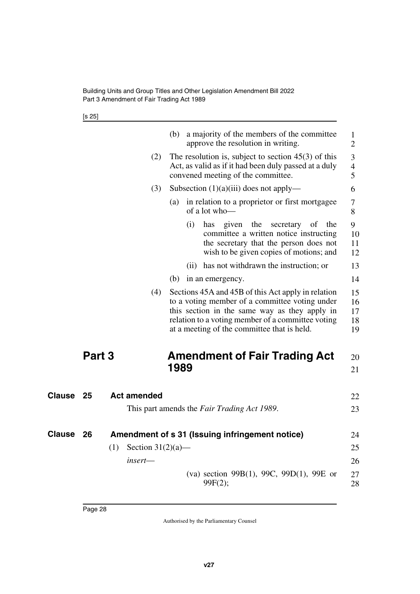Building Units and Group Titles and Other Legislation Amendment Bill 2022 Part 3 Amendment of Fair Trading Act 1989

<span id="page-29-1"></span>[s 25]

<span id="page-29-5"></span><span id="page-29-4"></span><span id="page-29-3"></span><span id="page-29-2"></span><span id="page-29-0"></span>

|               |        |     |                      | (b)  |      | a majority of the members of the committee<br>approve the resolution in writing.                                                                                                                                                                          |     | $\mathbf{1}$<br>$\overline{2}$     |
|---------------|--------|-----|----------------------|------|------|-----------------------------------------------------------------------------------------------------------------------------------------------------------------------------------------------------------------------------------------------------------|-----|------------------------------------|
|               |        |     | (2)                  |      |      | The resolution is, subject to section $45(3)$ of this<br>Act, as valid as if it had been duly passed at a duly<br>convened meeting of the committee.                                                                                                      |     | 3<br>$\overline{\mathcal{A}}$<br>5 |
|               |        |     | (3)                  |      |      | Subsection $(1)(a)(iii)$ does not apply—                                                                                                                                                                                                                  |     | 6                                  |
|               |        |     |                      | (a)  |      | in relation to a proprietor or first mortgagee<br>of a lot who-                                                                                                                                                                                           |     | 7<br>8                             |
|               |        |     |                      |      | (i)  | has<br>given<br>the<br>secretary<br>of<br>committee a written notice instructing<br>the secretary that the person does not<br>wish to be given copies of motions; and                                                                                     | the | 9<br>10<br>11<br>12                |
|               |        |     |                      |      | (11) | has not withdrawn the instruction; or                                                                                                                                                                                                                     |     | 13                                 |
|               |        |     |                      | (b)  |      | in an emergency.                                                                                                                                                                                                                                          |     | 14                                 |
|               |        |     | (4)                  |      |      | Sections 45A and 45B of this Act apply in relation<br>to a voting member of a committee voting under<br>this section in the same way as they apply in<br>relation to a voting member of a committee voting<br>at a meeting of the committee that is held. |     | 15<br>16<br>17<br>18<br>19         |
|               | Part 3 |     |                      | 1989 |      | <b>Amendment of Fair Trading Act</b>                                                                                                                                                                                                                      |     | 20<br>21                           |
| <b>Clause</b> | 25     |     | <b>Act amended</b>   |      |      |                                                                                                                                                                                                                                                           |     | 22                                 |
|               |        |     |                      |      |      | This part amends the Fair Trading Act 1989.                                                                                                                                                                                                               |     | 23                                 |
| <b>Clause</b> | 26     |     |                      |      |      | Amendment of s 31 (Issuing infringement notice)                                                                                                                                                                                                           |     | 24                                 |
|               |        | (1) | Section $31(2)(a)$ — |      |      |                                                                                                                                                                                                                                                           |     | 25                                 |
|               |        |     | insert—              |      |      |                                                                                                                                                                                                                                                           |     | 26                                 |
|               |        |     |                      |      |      | (va) section 99B(1), 99C, 99D(1), 99E or<br>99F(2);                                                                                                                                                                                                       |     | 27<br>28                           |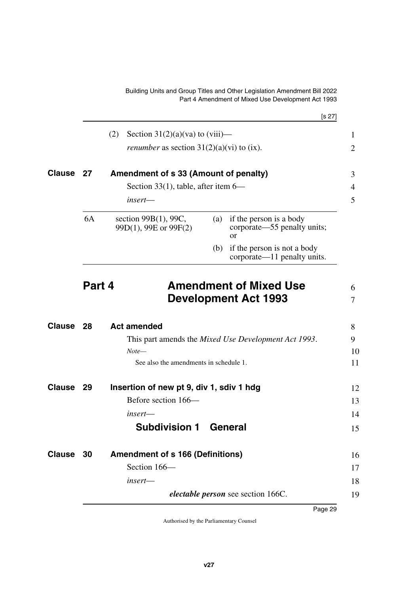<span id="page-30-11"></span><span id="page-30-10"></span><span id="page-30-9"></span><span id="page-30-8"></span><span id="page-30-7"></span><span id="page-30-6"></span><span id="page-30-5"></span><span id="page-30-4"></span><span id="page-30-3"></span><span id="page-30-2"></span><span id="page-30-1"></span><span id="page-30-0"></span>

|                         |    |                                                    |     | [s 27]                                                              |
|-------------------------|----|----------------------------------------------------|-----|---------------------------------------------------------------------|
|                         |    | (2)<br>Section $31(2)(a)(va)$ to $(viii)$ —        |     |                                                                     |
|                         |    | <i>renumber</i> as section $31(2)(a)(vi)$ to (ix). |     |                                                                     |
| <b>Clause</b>           | 27 | Amendment of s 33 (Amount of penalty)              |     |                                                                     |
|                         |    | Section 33(1), table, after item $6-$              |     |                                                                     |
|                         |    | $insert$ —                                         |     |                                                                     |
|                         | 6A | section $99B(1)$ , 99C,<br>99D(1), 99E or 99F(2)   | (a) | if the person is a body<br>corporate—55 penalty units;<br><b>or</b> |
|                         |    |                                                    | (b) | if the person is not a body<br>corporate—11 penalty units.          |
|                         |    |                                                    |     | <b>Development Act 1993</b>                                         |
| <b>Clause</b>           | 28 | <b>Act amended</b>                                 |     |                                                                     |
|                         |    |                                                    |     | This part amends the <i>Mixed Use Development Act 1993</i> .        |
|                         |    |                                                    |     |                                                                     |
|                         |    | $Note-$<br>See also the amendments in schedule 1.  |     |                                                                     |
|                         | 29 | Insertion of new pt 9, div 1, sdiv 1 hdg           |     |                                                                     |
|                         |    | Before section 166—                                |     |                                                                     |
|                         |    | insert-                                            |     |                                                                     |
|                         |    | <b>Subdivision 1</b>                               |     | General                                                             |
|                         | 30 | <b>Amendment of s 166 (Definitions)</b>            |     |                                                                     |
| Clause<br><b>Clause</b> |    | Section 166-                                       |     |                                                                     |
|                         |    | insert-                                            |     |                                                                     |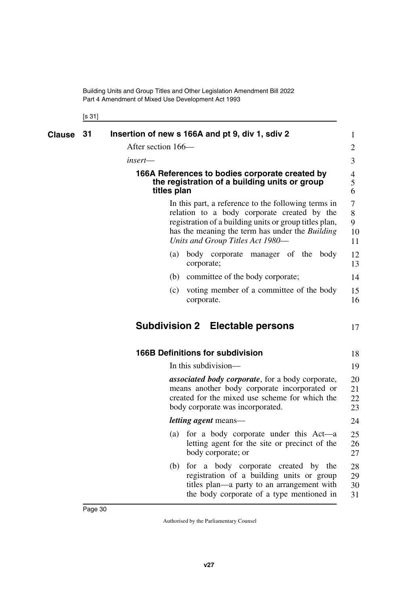<span id="page-31-5"></span><span id="page-31-3"></span><span id="page-31-2"></span><span id="page-31-1"></span><span id="page-31-0"></span>[s 31]

<span id="page-31-7"></span><span id="page-31-6"></span><span id="page-31-4"></span>

| Clause | 31 | Insertion of new s 166A and pt 9, div 1, sdiv 2                                                                                                                                                                                                            | $\mathbf{1}$            |
|--------|----|------------------------------------------------------------------------------------------------------------------------------------------------------------------------------------------------------------------------------------------------------------|-------------------------|
|        |    | After section 166—                                                                                                                                                                                                                                         | $\overline{2}$          |
|        |    | $insert$ —                                                                                                                                                                                                                                                 | 3                       |
|        |    | 166A References to bodies corporate created by<br>the registration of a building units or group<br>titles plan                                                                                                                                             | 4<br>5<br>6             |
|        |    | In this part, a reference to the following terms in<br>relation to a body corporate created by the<br>registration of a building units or group titles plan,<br>has the meaning the term has under the <i>Building</i><br>Units and Group Titles Act 1980- | 7<br>8<br>9<br>10<br>11 |
|        |    | (a) body corporate manager of the body<br>corporate;                                                                                                                                                                                                       | 12<br>13                |
|        |    | committee of the body corporate;<br>(b)                                                                                                                                                                                                                    | 14                      |
|        |    | voting member of a committee of the body<br>(c)<br>corporate.                                                                                                                                                                                              | 15<br>16                |
|        |    | <b>Subdivision 2 Electable persons</b>                                                                                                                                                                                                                     | 17                      |
|        |    | <b>166B Definitions for subdivision</b>                                                                                                                                                                                                                    | 18                      |
|        |    | In this subdivision—                                                                                                                                                                                                                                       | 19                      |
|        |    | <i>associated body corporate</i> , for a body corporate,<br>means another body corporate incorporated or<br>created for the mixed use scheme for which the<br>body corporate was incorporated.                                                             | 20<br>21<br>22<br>23    |
|        |    | <i>letting agent</i> means—                                                                                                                                                                                                                                | 24                      |
|        |    | (a) for a body corporate under this Act—a<br>letting agent for the site or precinct of the<br>body corporate; or                                                                                                                                           | 25<br>26<br>27          |
|        |    | for a body corporate created by the<br>(b)<br>registration of a building units or group<br>titles plan—a party to an arrangement with<br>the body corporate of a type mentioned in                                                                         | 28<br>29<br>30<br>31    |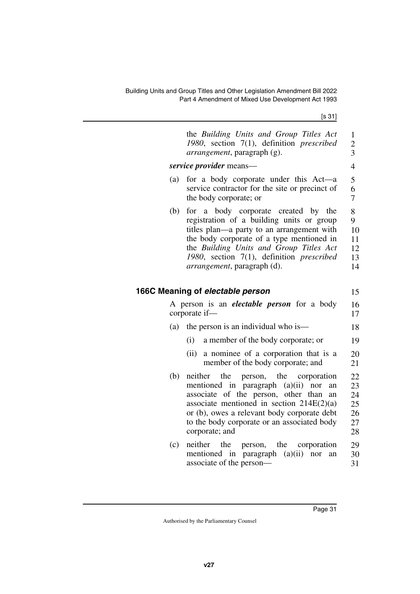[s 31]

<span id="page-32-1"></span><span id="page-32-0"></span>

|     | the Building Units and Group Titles Act<br>1980, section 7(1), definition prescribed<br><i>arrangement</i> , paragraph (g).                                                                                                                                                                                | 1<br>$\overline{c}$<br>3               |
|-----|------------------------------------------------------------------------------------------------------------------------------------------------------------------------------------------------------------------------------------------------------------------------------------------------------------|----------------------------------------|
|     | service provider means—                                                                                                                                                                                                                                                                                    | $\overline{4}$                         |
| (a) | for a body corporate under this Act—a<br>service contractor for the site or precinct of<br>the body corporate; or                                                                                                                                                                                          | 5<br>6<br>$\overline{7}$               |
| (b) | for a body corporate created by the<br>registration of a building units or group<br>titles plan—a party to an arrangement with<br>the body corporate of a type mentioned in<br>the Building Units and Group Titles Act<br>1980, section 7(1), definition prescribed<br><i>arrangement</i> , paragraph (d). | 8<br>9<br>10<br>11<br>12<br>13<br>14   |
|     | 166C Meaning of electable person                                                                                                                                                                                                                                                                           | 15                                     |
|     | A person is an <i>electable person</i> for a body<br>corporate if-                                                                                                                                                                                                                                         | 16                                     |
|     |                                                                                                                                                                                                                                                                                                            | 17                                     |
| (a) | the person is an individual who is—                                                                                                                                                                                                                                                                        | 18                                     |
|     | (i)<br>a member of the body corporate; or                                                                                                                                                                                                                                                                  | 19                                     |
|     | a nominee of a corporation that is a<br>(ii)<br>member of the body corporate; and                                                                                                                                                                                                                          | 20<br>21                               |
| (b) | neither<br>the<br>person, the<br>corporation<br>mentioned in paragraph $(a)(ii)$<br>nor<br>an<br>associate of the person, other than<br>an<br>associate mentioned in section $214E(2)(a)$<br>or (b), owes a relevant body corporate debt<br>to the body corporate or an associated body<br>corporate; and  | 22<br>23<br>24<br>25<br>26<br>27<br>28 |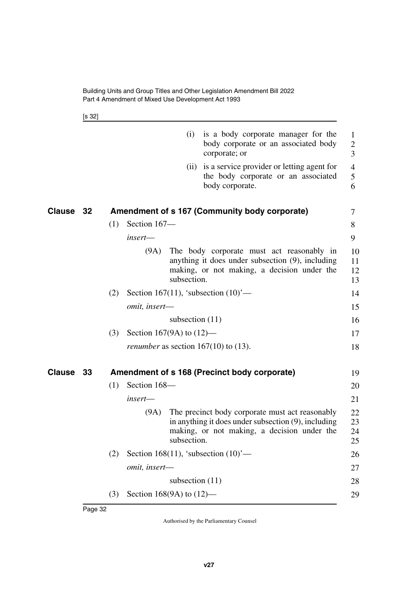<span id="page-33-1"></span>[s 32]

<span id="page-33-3"></span><span id="page-33-2"></span><span id="page-33-0"></span>

|                  |     |                             | (i)               | is a body corporate manager for the<br>body corporate or an associated body<br>corporate; or                                                          | $\mathbf{1}$<br>$\overline{2}$<br>$\overline{3}$ |
|------------------|-----|-----------------------------|-------------------|-------------------------------------------------------------------------------------------------------------------------------------------------------|--------------------------------------------------|
|                  |     |                             | (ii)              | is a service provider or letting agent for<br>the body corporate or an associated<br>body corporate.                                                  | $\overline{4}$<br>5<br>6                         |
| <b>Clause 32</b> |     |                             |                   | Amendment of s 167 (Community body corporate)                                                                                                         | 7                                                |
|                  | (1) | Section 167-                |                   |                                                                                                                                                       | 8                                                |
|                  |     | $insert$ —                  |                   |                                                                                                                                                       | 9                                                |
|                  |     | (9A)                        | subsection.       | The body corporate must act reasonably in<br>anything it does under subsection (9), including<br>making, or not making, a decision under the          | 10<br>11<br>12<br>13                             |
|                  | (2) |                             |                   | Section 167(11), 'subsection $(10)$ '—                                                                                                                | 14                                               |
|                  |     | omit, insert-               |                   |                                                                                                                                                       | 15                                               |
|                  |     |                             | subsection $(11)$ |                                                                                                                                                       | 16                                               |
|                  | (3) | Section 167(9A) to $(12)$ — |                   |                                                                                                                                                       | 17                                               |
|                  |     |                             |                   | <i>renumber</i> as section $167(10)$ to (13).                                                                                                         | 18                                               |
| Clause 33        |     |                             |                   | Amendment of s 168 (Precinct body corporate)                                                                                                          | 19                                               |
|                  | (1) | Section 168-                |                   |                                                                                                                                                       | 20                                               |
|                  |     | insert-                     |                   |                                                                                                                                                       | 21                                               |
|                  |     | (9A)                        | subsection.       | The precinct body corporate must act reasonably<br>in anything it does under subsection (9), including<br>making, or not making, a decision under the | 22<br>23<br>24<br>25                             |
|                  | (2) |                             |                   | Section 168(11), 'subsection $(10)$ '—                                                                                                                | 26                                               |
|                  |     | omit, insert-               |                   |                                                                                                                                                       | 27                                               |
|                  |     |                             | subsection $(11)$ |                                                                                                                                                       | 28                                               |
|                  | (3) | Section 168(9A) to $(12)$ — |                   |                                                                                                                                                       | 29                                               |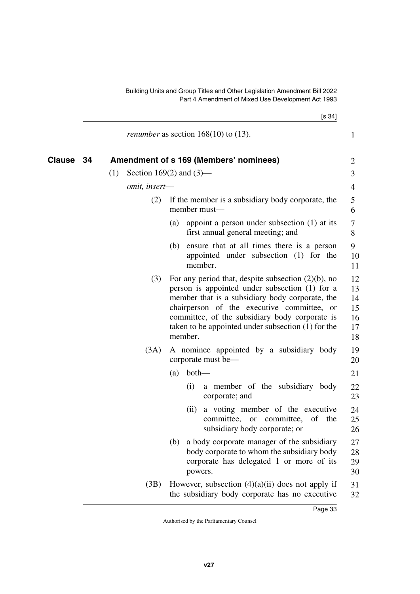<span id="page-34-1"></span><span id="page-34-0"></span>

|        |               | [s 34]                                                                                                                                                                                                                                                                                                                        |                                        |
|--------|---------------|-------------------------------------------------------------------------------------------------------------------------------------------------------------------------------------------------------------------------------------------------------------------------------------------------------------------------------|----------------------------------------|
|        |               | <i>renumber</i> as section $168(10)$ to $(13)$ .                                                                                                                                                                                                                                                                              | $\mathbf{1}$                           |
| Clause | 34            | Amendment of s 169 (Members' nominees)                                                                                                                                                                                                                                                                                        | $\overline{2}$                         |
|        | (1)           | Section 169 $(2)$ and $(3)$ —                                                                                                                                                                                                                                                                                                 | 3                                      |
|        | omit, insert- |                                                                                                                                                                                                                                                                                                                               | 4                                      |
|        | (2)           | If the member is a subsidiary body corporate, the<br>member must-                                                                                                                                                                                                                                                             | 5<br>6                                 |
|        |               | appoint a person under subsection $(1)$ at its<br>(a)<br>first annual general meeting; and                                                                                                                                                                                                                                    | 7<br>8                                 |
|        |               | (b) ensure that at all times there is a person<br>appointed under subsection (1) for the<br>member.                                                                                                                                                                                                                           | 9<br>10<br>11                          |
|        | (3)           | For any period that, despite subsection $(2)(b)$ , no<br>person is appointed under subsection (1) for a<br>member that is a subsidiary body corporate, the<br>chairperson of the executive committee, or<br>committee, of the subsidiary body corporate is<br>taken to be appointed under subsection $(1)$ for the<br>member. | 12<br>13<br>14<br>15<br>16<br>17<br>18 |
|        | (3A)          | A nominee appointed by a subsidiary body<br>corporate must be—                                                                                                                                                                                                                                                                | 19<br>20                               |
|        |               | both<br>(a)                                                                                                                                                                                                                                                                                                                   | 21                                     |
|        |               | a member of the subsidiary body<br>(i)<br>corporate; and                                                                                                                                                                                                                                                                      | 22<br>23                               |
|        |               | a voting member of the executive<br>(ii)<br>committee, or committee, of the<br>subsidiary body corporate; or                                                                                                                                                                                                                  | 24<br>25<br>26                         |
|        |               | a body corporate manager of the subsidiary<br>(b)<br>body corporate to whom the subsidiary body<br>corporate has delegated 1 or more of its<br>powers.                                                                                                                                                                        | 27<br>28<br>29<br>30                   |
|        | (3B)          | However, subsection $(4)(a)(ii)$ does not apply if<br>the subsidiary body corporate has no executive                                                                                                                                                                                                                          | 31<br>32                               |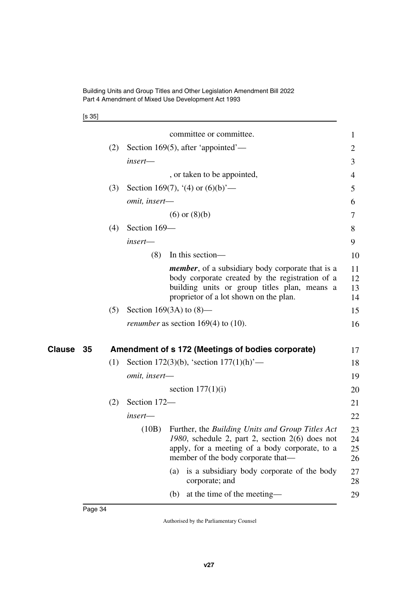|  | ۰, |
|--|----|
|--|----|

<span id="page-35-1"></span><span id="page-35-0"></span>

|              |     |               | committee or committee.                                                                                                                                                                               | 1                    |
|--------------|-----|---------------|-------------------------------------------------------------------------------------------------------------------------------------------------------------------------------------------------------|----------------------|
|              | (2) |               | Section 169(5), after 'appointed'—                                                                                                                                                                    | 2                    |
|              |     | insert-       |                                                                                                                                                                                                       | 3                    |
|              |     |               | , or taken to be appointed,                                                                                                                                                                           | 4                    |
|              | (3) |               | Section 169(7), '(4) or $(6)(b)$ '—                                                                                                                                                                   | 5                    |
|              |     | omit, insert- |                                                                                                                                                                                                       | 6                    |
|              |     |               | $(6)$ or $(8)(b)$                                                                                                                                                                                     | 7                    |
|              | (4) | Section 169-  |                                                                                                                                                                                                       | 8                    |
|              |     | insert-       |                                                                                                                                                                                                       | 9                    |
|              |     | (8)           | In this section—                                                                                                                                                                                      | 10                   |
|              |     |               | <i>member</i> , of a subsidiary body corporate that is a<br>body corporate created by the registration of a<br>building units or group titles plan, means a<br>proprietor of a lot shown on the plan. | 11<br>12<br>13<br>14 |
|              | (5) |               | Section 169(3A) to $(8)$ —                                                                                                                                                                            | 15                   |
|              |     |               | <i>renumber</i> as section $169(4)$ to $(10)$ .                                                                                                                                                       | 16                   |
| Clause<br>35 |     |               | Amendment of s 172 (Meetings of bodies corporate)                                                                                                                                                     | 17                   |
|              | (1) |               | Section 172(3)(b), 'section $177(1)$ (h)'—                                                                                                                                                            | 18                   |
|              |     | omit, insert- |                                                                                                                                                                                                       | 19                   |
|              |     |               | section $177(1)(i)$                                                                                                                                                                                   | 20                   |
|              | (2) | Section 172-  |                                                                                                                                                                                                       | 21                   |
|              |     | insert-       |                                                                                                                                                                                                       | 22                   |
|              |     | (10B)         | Further, the Building Units and Group Titles Act<br>1980, schedule 2, part 2, section 2(6) does not<br>apply, for a meeting of a body corporate, to a<br>member of the body corporate that—           | 23<br>24<br>25<br>26 |
|              |     |               | is a subsidiary body corporate of the body<br>(a)<br>corporate; and                                                                                                                                   | 27<br>28             |
|              |     |               | at the time of the meeting—<br>(b)                                                                                                                                                                    | 29                   |
|              |     |               |                                                                                                                                                                                                       |                      |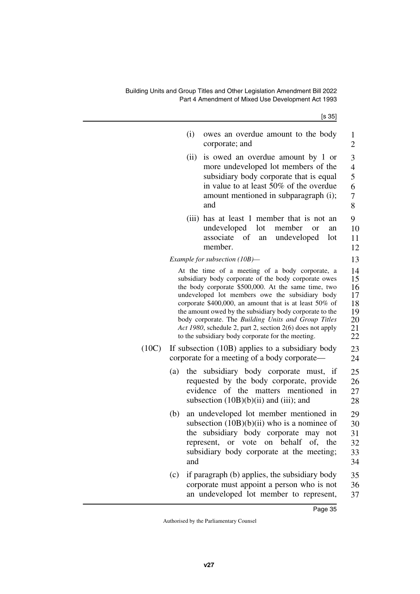| (i)        | owes an overdue amount to the body<br>corporate; and                                                                                                                                                                                                                                                                                                                                                                                                                                                            | 1<br>$\overline{2}$                                |
|------------|-----------------------------------------------------------------------------------------------------------------------------------------------------------------------------------------------------------------------------------------------------------------------------------------------------------------------------------------------------------------------------------------------------------------------------------------------------------------------------------------------------------------|----------------------------------------------------|
| (ii)       | is owed an overdue amount by 1 or<br>more undeveloped lot members of the<br>subsidiary body corporate that is equal<br>in value to at least 50% of the overdue<br>amount mentioned in subparagraph (i);<br>and                                                                                                                                                                                                                                                                                                  | 3<br>$\overline{4}$<br>5<br>6<br>7<br>8            |
|            | (iii) has at least 1 member that is not<br>an<br>undeveloped<br>lot<br>member<br><b>or</b><br>an<br>associate<br>of<br>an undeveloped<br>lot<br>member.                                                                                                                                                                                                                                                                                                                                                         | 9<br>10<br>11<br>12                                |
|            | Example for subsection (10B)-                                                                                                                                                                                                                                                                                                                                                                                                                                                                                   | 13                                                 |
|            | At the time of a meeting of a body corporate, a<br>subsidiary body corporate of the body corporate owes<br>the body corporate \$500,000. At the same time, two<br>undeveloped lot members owe the subsidiary body<br>corporate \$400,000, an amount that is at least 50% of<br>the amount owed by the subsidiary body corporate to the<br>body corporate. The Building Units and Group Titles<br>Act 1980, schedule 2, part 2, section 2(6) does not apply<br>to the subsidiary body corporate for the meeting. | 14<br>15<br>16<br>17<br>18<br>19<br>20<br>21<br>22 |
|            | If subsection (10B) applies to a subsidiary body<br>corporate for a meeting of a body corporate—                                                                                                                                                                                                                                                                                                                                                                                                                | 23<br>24                                           |
| (a)<br>the | subsidiary body corporate must, if<br>requested by the body corporate, provide<br>evidence of the matters mentioned in<br>subsection $(10B)(b)(ii)$ and $(iii)$ ; and                                                                                                                                                                                                                                                                                                                                           | 25<br>26<br>27<br>28                               |
| (b)<br>and | an undeveloped lot member mentioned in<br>subsection $(10B)(b)(ii)$ who is a nominee of<br>the subsidiary body corporate may not<br>or vote on behalf of, the<br>represent,<br>subsidiary body corporate at the meeting;                                                                                                                                                                                                                                                                                        | 29<br>30<br>31<br>32<br>33<br>34                   |
| (c)        | if paragraph (b) applies, the subsidiary body<br>corporate must appoint a person who is not<br>an undeveloped lot member to represent,                                                                                                                                                                                                                                                                                                                                                                          | 35<br>36<br>37                                     |

 $(10C)$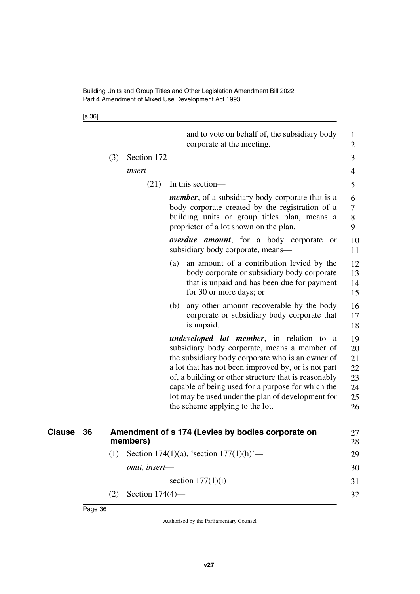[s 36]

<span id="page-37-1"></span><span id="page-37-0"></span>

|                     |     |                    | and to vote on behalf of, the subsidiary body<br>corporate at the meeting.                                                                                                                                                                                                                                                                                                                                       | $\mathbf{1}$<br>$\overline{2}$               |
|---------------------|-----|--------------------|------------------------------------------------------------------------------------------------------------------------------------------------------------------------------------------------------------------------------------------------------------------------------------------------------------------------------------------------------------------------------------------------------------------|----------------------------------------------|
|                     | (3) | Section 172-       |                                                                                                                                                                                                                                                                                                                                                                                                                  | 3                                            |
|                     |     | insert-            |                                                                                                                                                                                                                                                                                                                                                                                                                  | 4                                            |
|                     |     | (21)               | In this section—                                                                                                                                                                                                                                                                                                                                                                                                 | 5                                            |
|                     |     |                    | <i>member</i> , of a subsidiary body corporate that is a<br>body corporate created by the registration of a<br>building units or group titles plan, means a<br>proprietor of a lot shown on the plan.                                                                                                                                                                                                            | 6<br>$\overline{\mathcal{L}}$<br>8<br>9      |
|                     |     |                    | <i>overdue amount</i> , for a body corporate<br><b>or</b><br>subsidiary body corporate, means-                                                                                                                                                                                                                                                                                                                   | 10<br>11                                     |
|                     |     |                    | an amount of a contribution levied by the<br>(a)<br>body corporate or subsidiary body corporate<br>that is unpaid and has been due for payment<br>for 30 or more days; or                                                                                                                                                                                                                                        | 12<br>13<br>14<br>15                         |
|                     |     |                    | any other amount recoverable by the body<br>(b)<br>corporate or subsidiary body corporate that<br>is unpaid.                                                                                                                                                                                                                                                                                                     | 16<br>17<br>18                               |
|                     |     |                    | <i>undeveloped lot member</i> , in relation to a<br>subsidiary body corporate, means a member of<br>the subsidiary body corporate who is an owner of<br>a lot that has not been improved by, or is not part<br>of, a building or other structure that is reasonably<br>capable of being used for a purpose for which the<br>lot may be used under the plan of development for<br>the scheme applying to the lot. | 19<br>20<br>21<br>22<br>23<br>24<br>25<br>26 |
| <b>Clause</b><br>36 |     | members)           | Amendment of s 174 (Levies by bodies corporate on                                                                                                                                                                                                                                                                                                                                                                | 27<br>28                                     |
|                     | (1) |                    | Section 174(1)(a), 'section $177(1)(h)$ '—                                                                                                                                                                                                                                                                                                                                                                       | 29                                           |
|                     |     | omit, insert-      |                                                                                                                                                                                                                                                                                                                                                                                                                  | 30                                           |
|                     |     |                    | section $177(1)(i)$                                                                                                                                                                                                                                                                                                                                                                                              | 31                                           |
|                     | (2) | Section $174(4)$ — |                                                                                                                                                                                                                                                                                                                                                                                                                  | 32                                           |
|                     |     |                    |                                                                                                                                                                                                                                                                                                                                                                                                                  |                                              |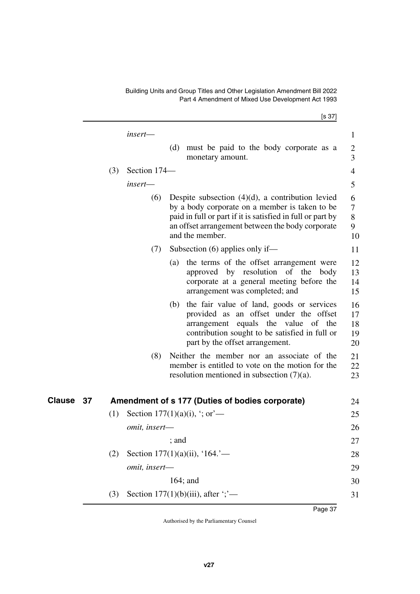[s 37]

<span id="page-38-1"></span><span id="page-38-0"></span>

|              |     | insert—              |                                                                                                                                                                                                                                            | 1                          |
|--------------|-----|----------------------|--------------------------------------------------------------------------------------------------------------------------------------------------------------------------------------------------------------------------------------------|----------------------------|
|              |     |                      | (d) must be paid to the body corporate as a<br>monetary amount.                                                                                                                                                                            | $\overline{c}$<br>3        |
|              | (3) | Section 174-         |                                                                                                                                                                                                                                            | 4                          |
|              |     | insert—              |                                                                                                                                                                                                                                            | 5                          |
|              |     | (6)                  | Despite subsection $(4)(d)$ , a contribution levied<br>by a body corporate on a member is taken to be<br>paid in full or part if it is satisfied in full or part by<br>an offset arrangement between the body corporate<br>and the member. | 6<br>7<br>8<br>9<br>10     |
|              |     | (7)                  | Subsection $(6)$ applies only if—                                                                                                                                                                                                          | 11                         |
|              |     |                      | the terms of the offset arrangement were<br>(a)<br>approved by resolution of the<br>body<br>corporate at a general meeting before the<br>arrangement was completed; and                                                                    | 12<br>13<br>14<br>15       |
|              |     |                      | the fair value of land, goods or services<br>(b)<br>provided as an offset under the offset<br>arrangement equals the value of the<br>contribution sought to be satisfied in full or<br>part by the offset arrangement.                     | 16<br>17<br>18<br>19<br>20 |
|              |     | (8)                  | Neither the member nor an associate of the<br>member is entitled to vote on the motion for the<br>resolution mentioned in subsection $(7)(a)$ .                                                                                            | 21<br>22<br>23             |
| Clause<br>37 |     |                      | Amendment of s 177 (Duties of bodies corporate)                                                                                                                                                                                            | 24                         |
|              | (1) |                      | Section 177 $(1)(a)(i)$ , $\cdot$ ; or —                                                                                                                                                                                                   | 25                         |
|              |     | <i>omit, insert—</i> |                                                                                                                                                                                                                                            | 26                         |
|              |     |                      | ; and                                                                                                                                                                                                                                      | 27                         |
|              | (2) |                      | Section 177(1)(a)(ii), '164.'—                                                                                                                                                                                                             | 28                         |
|              |     | omit, insert-        |                                                                                                                                                                                                                                            | 29                         |
|              |     |                      | $164$ ; and                                                                                                                                                                                                                                | 30                         |
|              | (3) |                      | Section $177(1)(b)(iii)$ , after $\dddot{\cdot}$ ;                                                                                                                                                                                         | 31                         |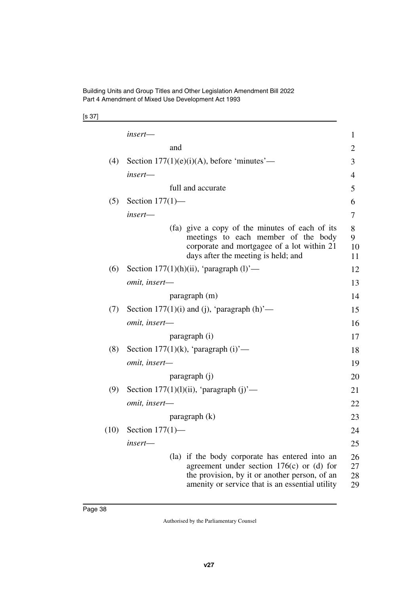[s 37]

|      | insert—                                                                                                                                                                                           | 1                    |
|------|---------------------------------------------------------------------------------------------------------------------------------------------------------------------------------------------------|----------------------|
|      | and                                                                                                                                                                                               | $\overline{2}$       |
| (4)  | Section $177(1)(e)(i)(A)$ , before 'minutes'—                                                                                                                                                     | 3                    |
|      | insert—                                                                                                                                                                                           | $\overline{4}$       |
|      | full and accurate                                                                                                                                                                                 | 5                    |
| (5)  | Section $177(1)$ —                                                                                                                                                                                | 6                    |
|      | insert—                                                                                                                                                                                           | 7                    |
|      | (fa) give a copy of the minutes of each of its<br>meetings to each member of the body<br>corporate and mortgagee of a lot within 21<br>days after the meeting is held; and                        | 8<br>9<br>10<br>11   |
| (6)  | Section $177(1)(h)(ii)$ , 'paragraph $(l)$ '—                                                                                                                                                     | 12                   |
|      | omit, insert-                                                                                                                                                                                     | 13                   |
|      | paragraph (m)                                                                                                                                                                                     | 14                   |
| (7)  | Section 177(1)(i) and (j), 'paragraph $(h)$ '—                                                                                                                                                    | 15                   |
|      | omit, insert-                                                                                                                                                                                     | 16                   |
|      | paragraph (i)                                                                                                                                                                                     | 17                   |
| (8)  | Section 177 $(1)(k)$ , 'paragraph $(i)$ '—                                                                                                                                                        | 18                   |
|      | omit, insert-                                                                                                                                                                                     | 19                   |
|      | paragraph (j)                                                                                                                                                                                     | 20                   |
| (9)  | Section $177(1)(1)(ii)$ , 'paragraph $(i)$ '—                                                                                                                                                     | 21                   |
|      | omit, insert-                                                                                                                                                                                     | 22                   |
|      | $\frac{1}{2}$ paragraph $(k)$                                                                                                                                                                     | 23                   |
| (10) | Section $177(1)$ —                                                                                                                                                                                | 24                   |
|      | insert-                                                                                                                                                                                           | 25                   |
|      | (la) if the body corporate has entered into an<br>agreement under section $176(c)$ or (d) for<br>the provision, by it or another person, of an<br>amenity or service that is an essential utility | 26<br>27<br>28<br>29 |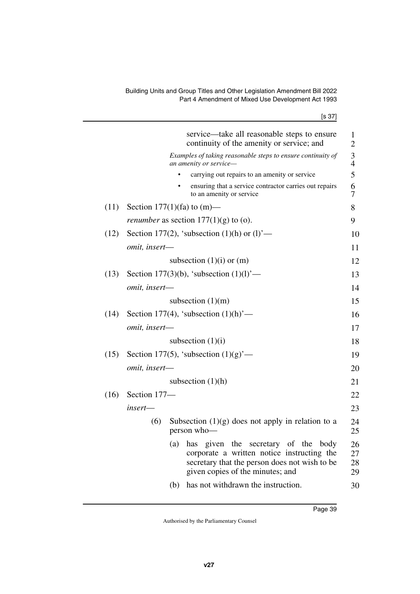| ۰. | ×<br>۰, |
|----|---------|
|----|---------|

|      |                                   |           | service—take all reasonable steps to ensure<br>continuity of the amenity or service; and                                                                                           | $\mathbf{1}$<br>$\overline{2}$ |
|------|-----------------------------------|-----------|------------------------------------------------------------------------------------------------------------------------------------------------------------------------------------|--------------------------------|
|      |                                   |           | Examples of taking reasonable steps to ensure continuity of<br>an amenity or service-                                                                                              | $\frac{3}{4}$                  |
|      |                                   |           | carrying out repairs to an amenity or service                                                                                                                                      | 5                              |
|      |                                   | $\bullet$ | ensuring that a service contractor carries out repairs<br>to an amenity or service                                                                                                 | 6<br>7                         |
| (11) | Section 177 $(1)$ (fa) to $(m)$ — |           |                                                                                                                                                                                    | 8                              |
|      |                                   |           | <i>renumber</i> as section $177(1)(g)$ to (o).                                                                                                                                     | 9                              |
| (12) |                                   |           | Section 177(2), 'subsection $(1)(h)$ or $(l)$ '—                                                                                                                                   | 10                             |
|      | omit, insert-                     |           |                                                                                                                                                                                    | 11                             |
|      |                                   |           | subsection $(1)(i)$ or $(m)$                                                                                                                                                       | 12                             |
| (13) |                                   |           | Section 177(3)(b), 'subsection $(1)(1)$ '—                                                                                                                                         | 13                             |
|      | omit, insert-                     |           |                                                                                                                                                                                    | 14                             |
|      |                                   |           | subsection $(1)(m)$                                                                                                                                                                | 15                             |
| (14) |                                   |           | Section 177(4), 'subsection $(1)(h)$ '—                                                                                                                                            | 16                             |
|      | omit, insert-                     |           |                                                                                                                                                                                    | 17                             |
|      |                                   |           | subsection $(1)(i)$                                                                                                                                                                | 18                             |
| (15) |                                   |           | Section 177(5), 'subsection $(1)(g)$ '—                                                                                                                                            | 19                             |
|      | omit, insert-                     |           |                                                                                                                                                                                    | 20                             |
|      |                                   |           | subsection $(1)(h)$                                                                                                                                                                | 21                             |
| (16) | Section 177-                      |           |                                                                                                                                                                                    |                                |
|      | insert-                           |           |                                                                                                                                                                                    | 22                             |
|      |                                   |           |                                                                                                                                                                                    | 23                             |
|      | (6)                               |           | Subsection $(1)(g)$ does not apply in relation to a<br>person who-                                                                                                                 | 24<br>25                       |
|      |                                   | (a)       | given<br>the<br>secretary of the<br>has<br>body<br>corporate a written notice instructing the<br>secretary that the person does not wish to be<br>given copies of the minutes; and | 26<br>27<br>28<br>29           |
|      |                                   | (b)       | has not withdrawn the instruction.                                                                                                                                                 | 30                             |
|      |                                   |           |                                                                                                                                                                                    |                                |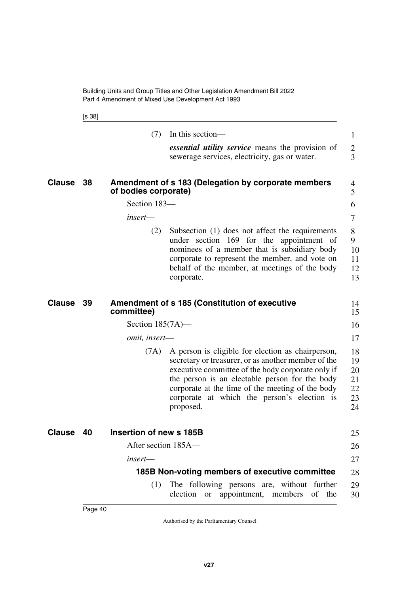<span id="page-41-1"></span>[s 38]

<span id="page-41-7"></span><span id="page-41-6"></span><span id="page-41-5"></span><span id="page-41-4"></span><span id="page-41-3"></span><span id="page-41-2"></span><span id="page-41-0"></span>

|               |    | (7)                     | In this section—                                                                                                                                                                                                                                                                                                                | $\mathbf{1}$                           |
|---------------|----|-------------------------|---------------------------------------------------------------------------------------------------------------------------------------------------------------------------------------------------------------------------------------------------------------------------------------------------------------------------------|----------------------------------------|
|               |    |                         | <i>essential utility service</i> means the provision of<br>sewerage services, electricity, gas or water.                                                                                                                                                                                                                        | $\overline{2}$<br>3                    |
|               |    |                         |                                                                                                                                                                                                                                                                                                                                 |                                        |
| Clause        | 38 | of bodies corporate)    | Amendment of s 183 (Delegation by corporate members                                                                                                                                                                                                                                                                             | 4<br>5                                 |
|               |    | Section 183-            |                                                                                                                                                                                                                                                                                                                                 | 6                                      |
|               |    | insert—                 |                                                                                                                                                                                                                                                                                                                                 | 7                                      |
|               |    | (2)                     | Subsection (1) does not affect the requirements<br>under section 169 for the appointment of<br>nominees of a member that is subsidiary body<br>corporate to represent the member, and vote on<br>behalf of the member, at meetings of the body<br>corporate.                                                                    | 8<br>9<br>10<br>11<br>12<br>13         |
| Clause        | 39 | committee)              | <b>Amendment of s 185 (Constitution of executive</b>                                                                                                                                                                                                                                                                            | 14<br>15                               |
|               |    | Section $185(7A)$ —     |                                                                                                                                                                                                                                                                                                                                 | 16                                     |
|               |    | omit, insert-           |                                                                                                                                                                                                                                                                                                                                 | 17                                     |
|               |    | (7A)                    | A person is eligible for election as chairperson,<br>secretary or treasurer, or as another member of the<br>executive committee of the body corporate only if<br>the person is an electable person for the body<br>corporate at the time of the meeting of the body<br>corporate at which the person's election is<br>proposed. | 18<br>19<br>20<br>21<br>22<br>23<br>24 |
| <b>Clause</b> | 40 | Insertion of new s 185B |                                                                                                                                                                                                                                                                                                                                 | 25                                     |
|               |    | After section 185A-     |                                                                                                                                                                                                                                                                                                                                 | 26                                     |
|               |    | $insert$ —              |                                                                                                                                                                                                                                                                                                                                 | 27                                     |
|               |    |                         | 185B Non-voting members of executive committee                                                                                                                                                                                                                                                                                  | 28                                     |
|               |    | (1)                     | The following persons are, without further<br>election or appointment, members of the                                                                                                                                                                                                                                           | 29<br>30                               |
|               |    |                         |                                                                                                                                                                                                                                                                                                                                 |                                        |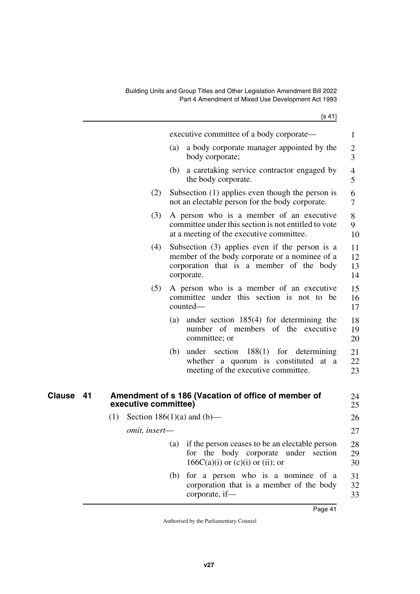<span id="page-42-1"></span><span id="page-42-0"></span>

|              |                      | executive committee of a body corporate—                                                                                                                     | 1                    |
|--------------|----------------------|--------------------------------------------------------------------------------------------------------------------------------------------------------------|----------------------|
|              |                      | a body corporate manager appointed by the<br>(a)<br>body corporate;                                                                                          | $\overline{c}$<br>3  |
|              |                      | (b)<br>a caretaking service contractor engaged by<br>the body corporate.                                                                                     | $\overline{4}$<br>5  |
|              | (2)                  | Subsection (1) applies even though the person is<br>not an electable person for the body corporate.                                                          | 6<br>7               |
|              | (3)                  | A person who is a member of an executive<br>committee under this section is not entitled to vote<br>at a meeting of the executive committee.                 | 8<br>9<br>10         |
|              | (4)                  | Subsection $(3)$ applies even if the person is a<br>member of the body corporate or a nominee of a<br>corporation that is a member of the body<br>corporate. | 11<br>12<br>13<br>14 |
|              | (5)                  | A person who is a member of an executive<br>committee under this section is not to be<br>counted-                                                            | 15<br>16<br>17       |
|              |                      | under section $185(4)$ for determining the<br>(a)<br>number of members of the executive<br>committee; or                                                     | 18<br>19<br>20       |
|              |                      | (b) under section $188(1)$ for determining<br>whether a quorum is constituted at a<br>meeting of the executive committee.                                    | 21<br>22<br>23       |
| Clause<br>41 | executive committee) | Amendment of s 186 (Vacation of office of member of                                                                                                          | 24<br>25             |
|              | (1)                  | Section 186(1)(a) and (b)—                                                                                                                                   | 26                   |
|              | omit, insert-        |                                                                                                                                                              | 27                   |
|              |                      | if the person ceases to be an electable person<br>(a)<br>for the body corporate under section<br>$166C(a)(i)$ or $(c)(i)$ or $(ii)$ ; or                     | 28<br>29<br>30       |
|              |                      | for a person who is a nominee of a<br>(b)<br>corporation that is a member of the body<br>corporate, if-                                                      | 31<br>32<br>33       |
|              |                      | Page 41                                                                                                                                                      |                      |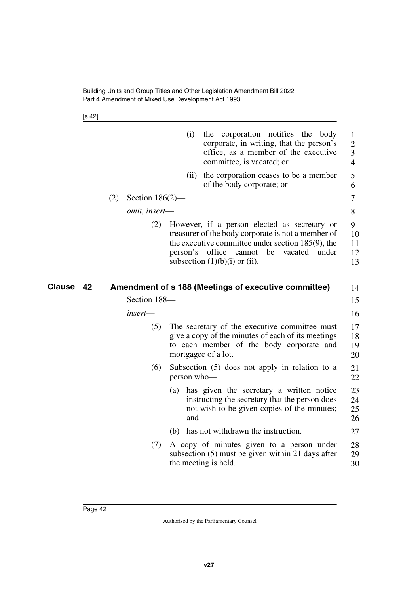[s 42]

<span id="page-43-1"></span><span id="page-43-0"></span>

|                     |                           | (i)<br>the corporation notifies the body<br>corporate, in writing, that the person's<br>office, as a member of the executive<br>committee, is vacated; or                                                                                         | 1<br>$\overline{2}$<br>3<br>$\overline{4}$ |
|---------------------|---------------------------|---------------------------------------------------------------------------------------------------------------------------------------------------------------------------------------------------------------------------------------------------|--------------------------------------------|
|                     |                           | the corporation ceases to be a member<br>(ii)<br>of the body corporate; or                                                                                                                                                                        | 5<br>6                                     |
|                     | (2)<br>Section $186(2)$ — |                                                                                                                                                                                                                                                   | 7                                          |
|                     | omit, insert-             |                                                                                                                                                                                                                                                   | 8                                          |
|                     | (2)                       | However, if a person elected as secretary or<br>treasurer of the body corporate is not a member of<br>the executive committee under section 185(9), the<br>person's office cannot<br>be<br>vacated<br>under<br>subsection $(1)(b)(i)$ or $(ii)$ . | 9<br>10<br>11<br>12<br>13                  |
| <b>Clause</b><br>42 |                           | Amendment of s 188 (Meetings of executive committee)                                                                                                                                                                                              | 14                                         |
|                     | Section 188-              |                                                                                                                                                                                                                                                   | 15                                         |
|                     | insert-                   |                                                                                                                                                                                                                                                   | 16                                         |
|                     | (5)                       | The secretary of the executive committee must<br>give a copy of the minutes of each of its meetings<br>to each member of the body corporate and<br>mortgagee of a lot.                                                                            | 17<br>18<br>19<br>20                       |
|                     | (6)                       | Subsection $(5)$ does not apply in relation to a<br>person who-                                                                                                                                                                                   | 21<br>22                                   |
|                     |                           | has given the secretary a written notice<br>(a)<br>instructing the secretary that the person does<br>not wish to be given copies of the minutes;<br>and                                                                                           | 23<br>24<br>25<br>26                       |
|                     |                           | has not withdrawn the instruction.<br>(b)                                                                                                                                                                                                         | 27                                         |
|                     | (7)                       | A copy of minutes given to a person under<br>subsection (5) must be given within 21 days after<br>the meeting is held.                                                                                                                            | 28<br>29<br>30                             |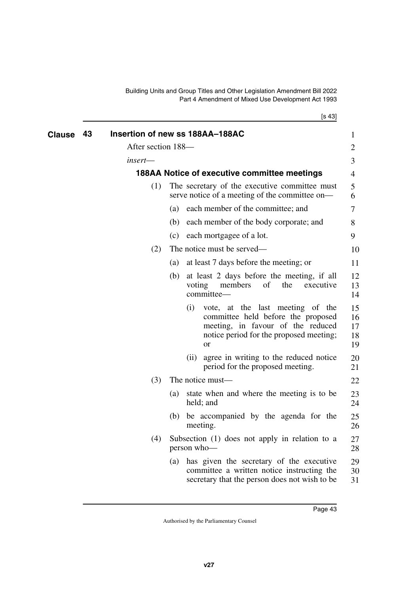[s 43]

<span id="page-44-3"></span><span id="page-44-2"></span><span id="page-44-1"></span><span id="page-44-0"></span>

| <b>Clause</b> | 43 | Insertion of new ss 188AA-188AC |     |        |                                                                                                                                                                         | 1                          |
|---------------|----|---------------------------------|-----|--------|-------------------------------------------------------------------------------------------------------------------------------------------------------------------------|----------------------------|
|               |    | After section 188-              |     |        |                                                                                                                                                                         | $\overline{2}$             |
|               |    | insert—                         |     |        |                                                                                                                                                                         | 3                          |
|               |    |                                 |     |        | 188AA Notice of executive committee meetings                                                                                                                            | 4                          |
|               |    | (1)                             |     |        | The secretary of the executive committee must<br>serve notice of a meeting of the committee on-                                                                         | 5<br>6                     |
|               |    |                                 | (a) |        | each member of the committee; and                                                                                                                                       | 7                          |
|               |    |                                 | (b) |        | each member of the body corporate; and                                                                                                                                  | 8                          |
|               |    |                                 | (c) |        | each mortgagee of a lot.                                                                                                                                                | 9                          |
|               |    | (2)                             |     |        | The notice must be served—                                                                                                                                              | 10                         |
|               |    |                                 | (a) |        | at least 7 days before the meeting; or                                                                                                                                  | 11                         |
|               |    |                                 | (b) | voting | at least 2 days before the meeting, if all<br>members<br>of<br>the<br>executive<br>committee-                                                                           | 12<br>13<br>14             |
|               |    |                                 |     | (i)    | vote, at the last meeting of the<br>committee held before the proposed<br>meeting, in favour of the reduced<br>notice period for the proposed meeting;<br><sub>or</sub> | 15<br>16<br>17<br>18<br>19 |
|               |    |                                 |     | (ii)   | agree in writing to the reduced notice<br>period for the proposed meeting.                                                                                              | 20<br>21                   |
|               |    | (3)                             |     |        | The notice must—                                                                                                                                                        | 22                         |
|               |    |                                 | (a) |        | state when and where the meeting is to be<br>held; and                                                                                                                  | 23<br>24                   |
|               |    |                                 |     |        | (b) be accompanied by the agenda for the<br>meeting.                                                                                                                    | 25<br>26                   |
|               |    | (4)                             |     |        | Subsection (1) does not apply in relation to a<br>person who-                                                                                                           | 27<br>28                   |
|               |    |                                 | (a) |        | has given the secretary of the executive<br>committee a written notice instructing the<br>secretary that the person does not wish to be                                 | 29<br>30<br>31             |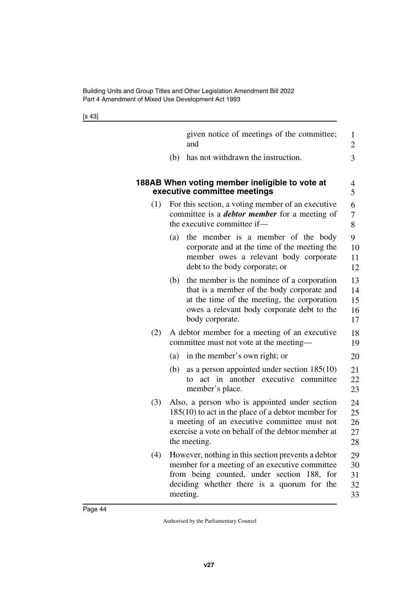| ł | × |
|---|---|
|   |   |

<span id="page-45-1"></span><span id="page-45-0"></span>

|     |     | given notice of meetings of the committee;<br>and                                                                                                                                                                         | 1<br>2                     |
|-----|-----|---------------------------------------------------------------------------------------------------------------------------------------------------------------------------------------------------------------------------|----------------------------|
|     | (b) | has not withdrawn the instruction.                                                                                                                                                                                        | 3                          |
|     |     | 188AB When voting member ineligible to vote at<br>executive committee meetings                                                                                                                                            | 4<br>5                     |
| (1) |     | For this section, a voting member of an executive<br>committee is a <b><i>debtor member</i></b> for a meeting of<br>the executive committee if-                                                                           | 6<br>7<br>8                |
|     | (a) | the member is a member of the body<br>corporate and at the time of the meeting the<br>member owes a relevant body corporate<br>debt to the body corporate; or                                                             | 9<br>10<br>11<br>12        |
|     | (b) | the member is the nominee of a corporation<br>that is a member of the body corporate and<br>at the time of the meeting, the corporation<br>owes a relevant body corporate debt to the<br>body corporate.                  | 13<br>14<br>15<br>16<br>17 |
| (2) |     | A debtor member for a meeting of an executive<br>committee must not vote at the meeting—                                                                                                                                  | 18<br>19                   |
|     | (a) | in the member's own right; or                                                                                                                                                                                             | 20                         |
|     | (b) | as a person appointed under section $185(10)$<br>act in another executive committee<br>to<br>member's place.                                                                                                              | 21<br>22<br>23             |
| (3) |     | Also, a person who is appointed under section<br>$185(10)$ to act in the place of a debtor member for<br>a meeting of an executive committee must not<br>exercise a vote on behalf of the debtor member at<br>the meeting | 24<br>25<br>26<br>27<br>28 |
| (4) |     | However, nothing in this section prevents a debtor<br>member for a meeting of an executive committee<br>from being counted, under section 188, for<br>deciding whether there is a quorum for the<br>meeting.              | 29<br>30<br>31<br>32<br>33 |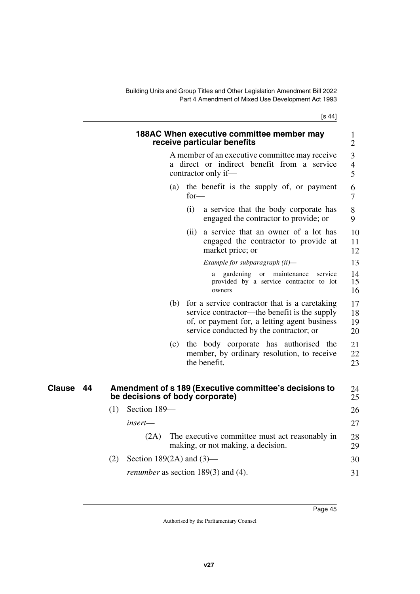[s 44]

<span id="page-46-3"></span><span id="page-46-2"></span><span id="page-46-1"></span><span id="page-46-0"></span>

|              | 188AC When executive committee member may                                                                                                                                                       | 1                        |
|--------------|-------------------------------------------------------------------------------------------------------------------------------------------------------------------------------------------------|--------------------------|
|              | receive particular benefits                                                                                                                                                                     | $\overline{2}$           |
|              | A member of an executive committee may receive<br>a direct or indirect benefit from a service<br>contractor only if-                                                                            | 3<br>$\overline{4}$<br>5 |
|              | the benefit is the supply of, or payment<br>(a)<br>$for-$                                                                                                                                       | 6<br>7                   |
|              | (i)<br>a service that the body corporate has<br>engaged the contractor to provide; or                                                                                                           | 8<br>9                   |
|              | (ii) a service that an owner of a lot has<br>engaged the contractor to provide at<br>market price; or                                                                                           | 10<br>11<br>12           |
|              | Example for subparagraph (ii)-                                                                                                                                                                  | 13                       |
|              | gardening or maintenance<br>service<br>a<br>provided by a service contractor to lot<br>owners                                                                                                   | 14<br>15<br>16           |
|              | (b)<br>for a service contractor that is a caretaking<br>service contractor—the benefit is the supply<br>of, or payment for, a letting agent business<br>service conducted by the contractor; or | 17<br>18<br>19<br>20     |
|              | the body corporate has authorised the<br>(c)<br>member, by ordinary resolution, to receive<br>the benefit.                                                                                      | 21<br>22<br>23           |
| Clause<br>44 | Amendment of s 189 (Executive committee's decisions to<br>be decisions of body corporate)                                                                                                       | 24<br>25                 |
|              | Section 189-<br>(1)                                                                                                                                                                             | 26                       |
|              | insert—                                                                                                                                                                                         | 27                       |
|              | (2A)<br>The executive committee must act reasonably in<br>making, or not making, a decision.                                                                                                    | 28<br>29                 |
|              | (2)<br>Section 189 $(2A)$ and $(3)$ —                                                                                                                                                           | 30                       |
|              | <i>renumber</i> as section $189(3)$ and (4).                                                                                                                                                    | 31                       |
|              |                                                                                                                                                                                                 |                          |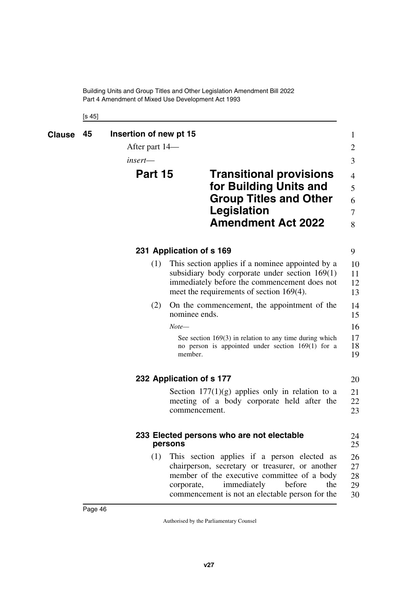<span id="page-47-5"></span><span id="page-47-4"></span><span id="page-47-3"></span><span id="page-47-2"></span><span id="page-47-1"></span><span id="page-47-0"></span>[s 45]

<span id="page-47-9"></span><span id="page-47-8"></span><span id="page-47-7"></span><span id="page-47-6"></span>

| <b>Clause</b> | 45 | Insertion of new pt 15<br>After part 14— |                                                                                                                             | 1<br>2         |
|---------------|----|------------------------------------------|-----------------------------------------------------------------------------------------------------------------------------|----------------|
|               |    | $insert$ —                               |                                                                                                                             | 3              |
|               |    | Part 15                                  | <b>Transitional provisions</b>                                                                                              | 4              |
|               |    |                                          | for Building Units and                                                                                                      | 5              |
|               |    |                                          | <b>Group Titles and Other</b>                                                                                               | 6              |
|               |    |                                          | <b>Legislation</b>                                                                                                          | 7              |
|               |    |                                          | <b>Amendment Act 2022</b>                                                                                                   | 8              |
|               |    |                                          | 231 Application of s 169                                                                                                    | 9              |
|               |    | (1)                                      | This section applies if a nominee appointed by a                                                                            | 10             |
|               |    |                                          | subsidiary body corporate under section $169(1)$                                                                            | 11             |
|               |    |                                          | immediately before the commencement does not<br>meet the requirements of section $169(4)$ .                                 | 12<br>13       |
|               |    | (2)                                      | On the commencement, the appointment of the                                                                                 | 14             |
|               |    |                                          | nominee ends.                                                                                                               | 15             |
|               |    |                                          | $Note-$                                                                                                                     | 16             |
|               |    |                                          | See section $169(3)$ in relation to any time during which<br>no person is appointed under section $169(1)$ for a<br>member. | 17<br>18<br>19 |
|               |    |                                          | 232 Application of s 177                                                                                                    | 20             |
|               |    |                                          | Section $177(1)(g)$ applies only in relation to a                                                                           | 21             |
|               |    |                                          | meeting of a body corporate held after the                                                                                  | 22             |
|               |    |                                          | commencement.                                                                                                               | 23             |
|               |    | persons                                  | 233 Elected persons who are not electable                                                                                   | 24<br>25       |
|               |    | (1)                                      | This section applies if a person elected as                                                                                 | 26             |
|               |    |                                          | chairperson, secretary or treasurer, or another                                                                             | 27             |
|               |    |                                          | member of the executive committee of a body<br>immediately<br>before<br>the<br>corporate,                                   | 28<br>29       |
|               |    |                                          | commencement is not an electable person for the                                                                             | 30             |
|               |    |                                          |                                                                                                                             |                |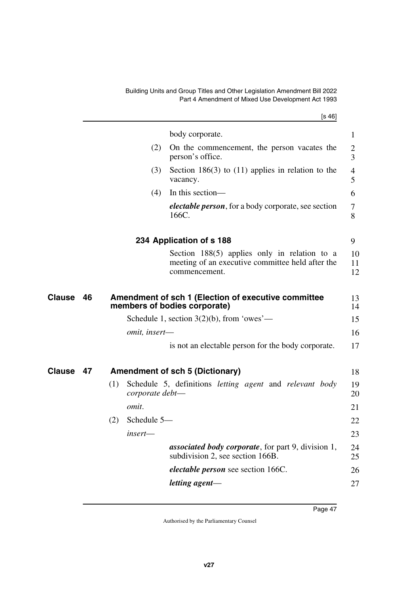body corporate.

person's office.

vacancy. (4) In this section—

<span id="page-48-1"></span><span id="page-48-0"></span>166C.

[s 46] (2) On the commencement, the person vacates the (3) Section 186(3) to (11) applies in relation to the *electable person*, for a body corporate, see section 1 2 3 4 5 6 7 8

<span id="page-48-5"></span><span id="page-48-4"></span><span id="page-48-3"></span><span id="page-48-2"></span>

|               |    |                    | 234 Application of s 188                                                                                            | 9              |
|---------------|----|--------------------|---------------------------------------------------------------------------------------------------------------------|----------------|
|               |    |                    | Section $188(5)$ applies only in relation to a<br>meeting of an executive committee held after the<br>commencement. | 10<br>11<br>12 |
| <b>Clause</b> | 46 |                    | Amendment of sch 1 (Election of executive committee<br>members of bodies corporate)                                 | 13<br>14       |
|               |    |                    | Schedule 1, section $3(2)(b)$ , from 'owes'—                                                                        | 15             |
|               |    | omit, insert-      |                                                                                                                     | 16             |
|               |    |                    | is not an electable person for the body corporate.                                                                  | 17             |
| <b>Clause</b> | 47 |                    | <b>Amendment of sch 5 (Dictionary)</b>                                                                              | 18             |
|               |    | (1)                | Schedule 5, definitions <i>letting</i> agent and <i>relevant</i> body<br>corporate debt-                            | 19<br>20       |
|               |    | omit.              |                                                                                                                     | 21             |
|               |    | Schedule 5-<br>(2) |                                                                                                                     | 22             |
|               |    | $insert$ —         |                                                                                                                     | 23             |
|               |    |                    | <i>associated body corporate, for part 9, division 1,</i><br>subdivision 2, see section 166B.                       | 24<br>25       |
|               |    |                    | <i>electable person</i> see section 166C.                                                                           | 26             |
|               |    |                    | letting agent-                                                                                                      | 27             |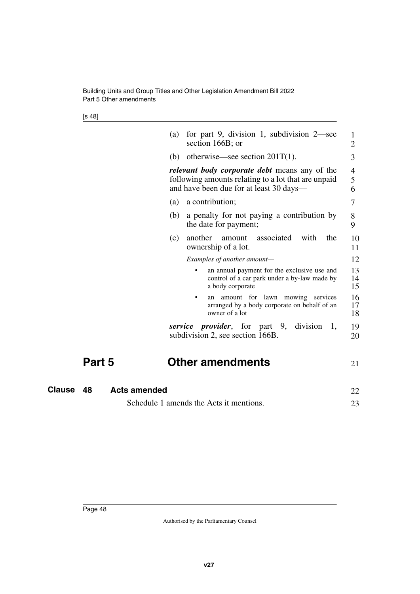Building Units and Group Titles and Other Legislation Amendment Bill 2022 Part 5 Other amendments

[s 48]

|     | section 166B; or                                                                                                                                |
|-----|-------------------------------------------------------------------------------------------------------------------------------------------------|
|     | (b) otherwise—see section $201T(1)$ .                                                                                                           |
|     | relevant body corporate debt means any of the<br>following amounts relating to a lot that are unpaid<br>and have been due for at least 30 days— |
| (a) | a contribution;                                                                                                                                 |
| (b) | a penalty for not paying a contribution by<br>the date for payment;                                                                             |
| (c) | another amount associated with<br>the<br>ownership of a lot.                                                                                    |
|     | Examples of another amount—                                                                                                                     |
|     | an annual payment for the exclusive use and<br>control of a car park under a by-law made by<br>a body corporate                                 |
|     | lawn<br>mowing<br>for<br>services<br>amount<br>an<br>arranged by a body corporate on behalf of an<br>owner of a lot                             |
|     | <i>service provider</i> , for part 9, division<br>1,<br>subdivision 2, see section 166B.                                                        |

#### <span id="page-49-3"></span><span id="page-49-2"></span><span id="page-49-1"></span><span id="page-49-0"></span>**Part 5 Other amendments** 21

| Clause 48 | <b>Acts amended</b>                     |  |  |
|-----------|-----------------------------------------|--|--|
|           | Schedule 1 amends the Acts it mentions. |  |  |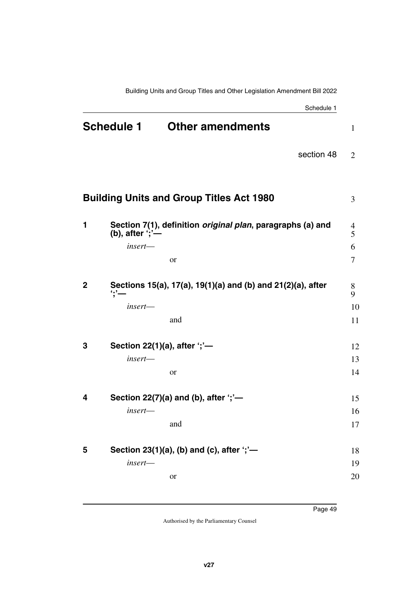<span id="page-50-2"></span><span id="page-50-1"></span><span id="page-50-0"></span>

|                                              |                         | Schedule 1                                                         |                |
|----------------------------------------------|-------------------------|--------------------------------------------------------------------|----------------|
| <b>Schedule 1</b><br><b>Other amendments</b> |                         | $\mathbf{1}$                                                       |                |
|                                              |                         | section 48                                                         | $\overline{2}$ |
|                                              |                         | <b>Building Units and Group Titles Act 1980</b>                    | 3              |
| 1                                            | (b), after ';'-         | Section 7(1), definition <i>original plan</i> , paragraphs (a) and | 4<br>5         |
|                                              | $insert$ —              |                                                                    | 6              |
|                                              |                         | or                                                                 | 7              |
| $\mathbf{2}$                                 | $\dddot{\ }$ ; $\dot{}$ | Sections 15(a), 17(a), 19(1)(a) and (b) and 21(2)(a), after        | 8<br>9         |
|                                              | insert—                 |                                                                    | 10             |
|                                              |                         | and                                                                | 11             |
| 3                                            |                         | Section 22(1)(a), after ';'-                                       | 12             |
|                                              | $insert$ —              |                                                                    | 13             |
|                                              |                         | or                                                                 | 14             |
| 4                                            |                         | Section 22(7)(a) and (b), after $\dot{\cdot}$ ;'-                  | 15             |
|                                              | insert—                 |                                                                    | 16             |
|                                              |                         | and                                                                | 17             |
| 5                                            |                         | Section 23(1)(a), (b) and (c), after ';'-                          |                |
|                                              | insert-                 |                                                                    | 18<br>19       |
|                                              |                         | or                                                                 | 20             |
|                                              |                         |                                                                    |                |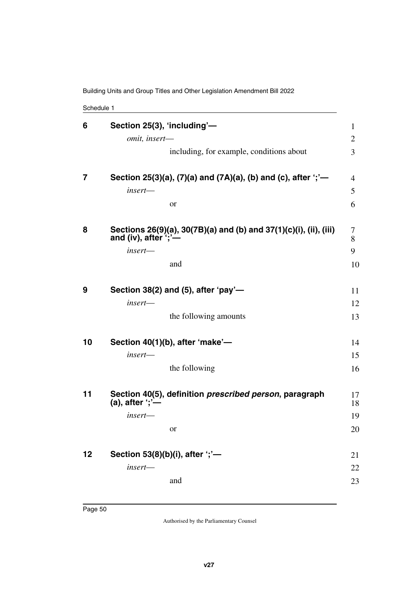Building Units and Group Titles and Other Legislation Amendment Bill 2022

Schedule 1

| 6  | Section 25(3), 'including'-<br>omit, insert-                                                   | $\mathbf{1}$<br>2 |
|----|------------------------------------------------------------------------------------------------|-------------------|
|    | including, for example, conditions about                                                       | 3                 |
| 7  | Section 25(3)(a), (7)(a) and (7A)(a), (b) and (c), after ';'-                                  | 4                 |
|    | insert-                                                                                        | 5                 |
|    | or                                                                                             | 6                 |
| 8  | Sections 26(9)(a), 30(7B)(a) and (b) and 37(1)(c)(i), (ii), (iii)<br>and (iv), after $\cdot$ ; | 7<br>8            |
|    | insert-                                                                                        | 9                 |
|    | and                                                                                            | 10                |
| 9  | Section 38(2) and (5), after 'pay'-                                                            | 11                |
|    | $insert$ —                                                                                     | 12                |
|    | the following amounts                                                                          | 13                |
| 10 | Section 40(1)(b), after 'make'-                                                                | 14                |
|    | insert-                                                                                        | 15                |
|    | the following                                                                                  | 16                |
| 11 | Section 40(5), definition prescribed person, paragraph<br>$(a)$ , after ';'-                   | 17<br>18          |
|    | $insert$ —                                                                                     | 19                |
|    | or                                                                                             | 20                |
| 12 | Section 53(8)(b)(i), after ';'-                                                                | 21                |
|    | insert-                                                                                        | 22                |
|    | and                                                                                            | 23                |
|    |                                                                                                |                   |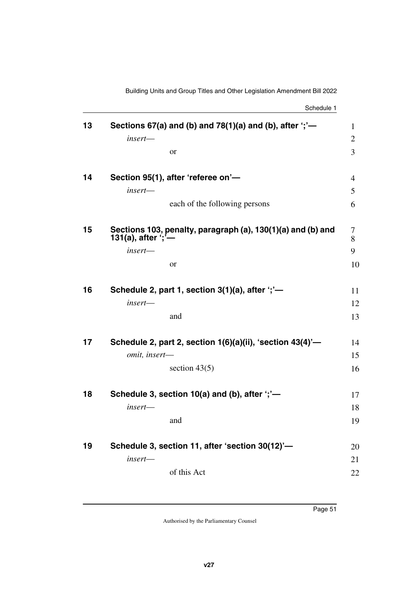Schedule 1

| 13 | Sections 67(a) and (b) and 78(1)(a) and (b), after $\dot{\cdot}$ ;'-                     | $\mathbf{1}$   |
|----|------------------------------------------------------------------------------------------|----------------|
|    | insert-                                                                                  | $\overline{2}$ |
|    | or                                                                                       | $\overline{3}$ |
| 14 | Section 95(1), after 'referee on'-                                                       | 4              |
|    | insert-                                                                                  | 5              |
|    | each of the following persons                                                            | 6              |
| 15 | Sections 103, penalty, paragraph (a), 130(1)(a) and (b) and<br>131(a), after $\cdot$ ; — | 7<br>8         |
|    | insert-                                                                                  | 9              |
|    | <b>or</b>                                                                                | 10             |
| 16 | Schedule 2, part 1, section $3(1)(a)$ , after ';'-                                       | 11             |
|    | insert-                                                                                  | 12             |
|    | and                                                                                      | 13             |
| 17 | Schedule 2, part 2, section $1(6)(a)(ii)$ , 'section $43(4)$ '-                          | 14             |
|    | omit, insert-                                                                            | 15             |
|    | section $43(5)$                                                                          | 16             |
| 18 | Schedule 3, section 10(a) and (b), after "; "-                                           | 17             |
|    | $insert$ —                                                                               | 18             |
|    | and                                                                                      | 19             |
| 19 | Schedule 3, section 11, after 'section 30(12)'-                                          | 20             |
|    | insert-                                                                                  | 21             |
|    | of this Act                                                                              | 22             |